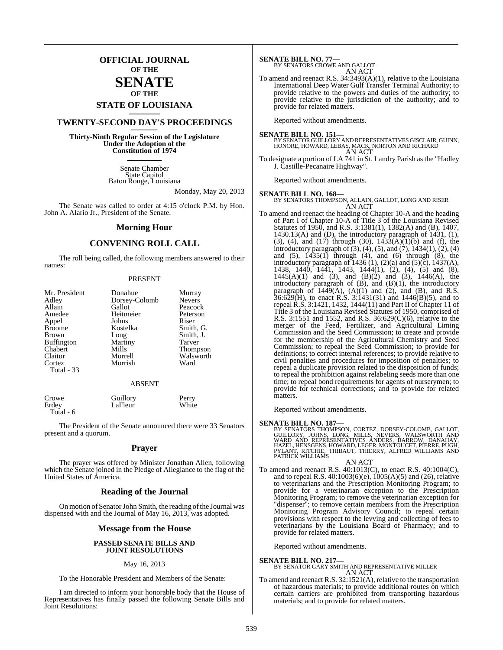## **OFFICIAL JOURNAL OF THE**

## **SENATE OF THE**

# **STATE OF LOUISIANA \_\_\_\_\_\_\_**

# **TWENTY-SECOND DAY'S PROCEEDINGS \_\_\_\_\_\_\_**

**Thirty-Ninth Regular Session of the Legislature Under the Adoption of the Constitution of 1974 \_\_\_\_\_\_\_**

> Senate Chamber State Capitol Baton Rouge, Louisiana

> > Monday, May 20, 2013

The Senate was called to order at 4:15 o'clock P.M. by Hon. John A. Alario Jr., President of the Senate.

#### **Morning Hour**

#### **CONVENING ROLL CALL**

The roll being called, the following members answered to their names:

#### PRESENT

| Mr. President     | Donahue       | Murray        |
|-------------------|---------------|---------------|
| Adley             | Dorsey-Colomb | <b>Nevers</b> |
| Allain            | Gallot        | Peacock       |
| Amedee            | Heitmeier     | Peterson      |
| Appel             | Johns         | Riser         |
| <b>Broome</b>     | Kostelka      | Smith, G.     |
| <b>Brown</b>      | Long          | Smith, J.     |
| <b>Buffington</b> | Martiny       | Tarver        |
| Chabert           | Mills         | Thompson      |
| Claitor           | Morrell       | Walsworth     |
| Cortez            | Morrish       | Ward          |
| Total - 33        |               |               |

#### ABSENT

| Crowe     | Guillory | Perry |
|-----------|----------|-------|
| Erdev     | LaFleur  | White |
| Total - 6 |          |       |

The President of the Senate announced there were 33 Senators present and a quorum.

#### **Prayer**

The prayer was offered by Minister Jonathan Allen, following which the Senate joined in the Pledge of Allegiance to the flag of the United States of America.

#### **Reading of the Journal**

On motion of Senator John Smith, the reading of the Journal was dispensed with and the Journal of May 16, 2013, was adopted.

#### **Message from the House**

#### **PASSED SENATE BILLS AND JOINT RESOLUTIONS**

#### May 16, 2013

To the Honorable President and Members of the Senate:

I am directed to inform your honorable body that the House of Representatives has finally passed the following Senate Bills and Joint Resolutions:

#### **SENATE BILL NO. 77—**

#### BY SENATORS CROWE AND GALLOT AN ACT

To amend and reenact R.S. 34:3493(A)(1), relative to the Louisiana International Deep Water Gulf Transfer Terminal Authority; to provide relative to the powers and duties of the authority; to provide relative to the jurisdiction of the authority; and to provide for related matters.

Reported without amendments.

**SENATE BILL NO. 151—** BY SENATOR GUILLORY AND REPRESENTATIVES GISCLAIR, GUINN, HONORE, HOWARD, LEBAS, MACK, NORTON AND RICHARD AN ACT

To designate a portion of LA 741 in St. Landry Parish as the "Hadley J. Castille-Pecanaire Highway".

Reported without amendments.

#### **SENATE BILL NO. 168—**

BY SENATORS THOMPSON, ALLAIN, GALLOT, LONG AND RISER AN ACT

To amend and reenact the heading of Chapter 10-A and the heading of Part I of Chapter 10-A of Title 3 of the Louisiana Revised Statutes of 1950, and R.S. 3:1381(1), 1382(A) and (B), 1407, 1430.13(A) and (D), the introductory paragraph of 1431, (1), (3), (4), and (17) through (30),  $143\overline{3}(A)\overline{(1)}$  (b) and (f), the introductory paragraph of  $(3)$ ,  $(4)$ ,  $(5)$ , and  $(7)$ ,  $1434(1)$ ,  $(2)$ ,  $(4)$ and (5), 1435(1) through (4), and (6) through (8), the introductory paragraph of  $1436$  (1), (2)(a) and (5)(c), 1437(A), 1438, 1440, 1441, 1443, 1444(1), (2), (4), (5) and (8),  $1445(A)(1)$  and  $(3)$ , and  $(B)(2)$  and  $(3)$ ,  $1446(A)$ , the introductory paragraph of (B), and (B)(1), the introductory paragraph of  $1449(\text{\AA})$ ,  $(A)(1)$  and  $(2)$ , and  $(B)$ , and R.S.  $36:629$ (H), to enact R.S.  $3:1431(31)$  and  $1446(B)(5)$ , and to repeal R.S. 3:1421, 1432, 1444(11) and Part II of Chapter 11 of Title 3 of the Louisiana Revised Statutes of 1950, comprised of R.S. 3:1551 and 1552, and R.S. 36:629(C)(6), relative to the merger of the Feed, Fertilizer, and Agricultural Liming Commission and the Seed Commission; to create and provide for the membership of the Agricultural Chemistry and Seed Commission; to repeal the Seed Commission; to provide for definitions; to correct internal references; to provide relative to civil penalties and procedures for imposition of penalties; to repeal a duplicate provision related to the disposition of funds; to repeal the prohibition against relabeling seeds more than one time; to repeal bond requirements for agents of nurserymen; to provide for technical corrections; and to provide for related matters.

Reported without amendments.

SENATE BILL NO. 187—<br>BY SENATORS THOMPSON, CORTEZ, DORSEY-COLOMB, GALLOT, GUILLORY, JOHNS, LONG, MILLS, NEVERS, WALSWORTH AND<br>WARD AND REPRESENTATIVES ANDERS, BARROW, DANAHAY,<br>HAZEL, HENSGENS, HOWARD, LEGER, MONTOUCET, PIE

#### AN ACT

To amend and reenact R.S. 40:1013(C), to enact R.S. 40:1004(C), and to repeal R.S. 40:1003(6)(e), 1005(A)(5) and (26), relative to veterinarians and the Prescription Monitoring Program; to provide for a veterinarian exception to the Prescription Monitoring Program; to remove the veterinarian exception for "dispenser"; to remove certain members from the Prescription Monitoring Program Advisory Council; to repeal certain provisions with respect to the levying and collecting of fees to veterinarians by the Louisiana Board of Pharmacy; and to provide for related matters.

Reported without amendments.

#### **SENATE BILL NO. 217—**

BY SENATOR GARY SMITH AND REPRESENTATIVE MILLER AN ACT

To amend and reenact R.S. 32:1521(A), relative to the transportation of hazardous materials; to provide additional routes on which certain carriers are prohibited from transporting hazardous materials; and to provide for related matters.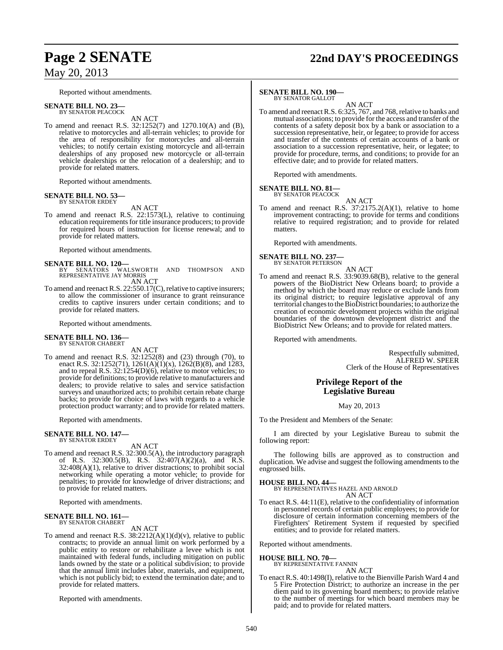#### Reported without amendments.

#### **SENATE BILL NO. 23—**

BY SENATOR PEACOCK AN ACT

To amend and reenact R.S. 32:1252(7) and 1270.10(A) and (B), relative to motorcycles and all-terrain vehicles; to provide for the area of responsibility for motorcycles and all-terrain vehicles; to notify certain existing motorcycle and all-terrain dealerships of any proposed new motorcycle or all-terrain vehicle dealerships or the relocation of a dealership; and to provide for related matters.

Reported without amendments.

#### **SENATE BILL NO. 53—** BY SENATOR ERDEY

AN ACT

To amend and reenact R.S. 22:1573(L), relative to continuing education requirements for title insurance producers; to provide for required hours of instruction for license renewal; and to provide for related matters.

Reported without amendments.

#### **SENATE BILL NO. 120—**

- BY SENATORS WALSWORTH AND THOMPSON AND REPRESENTATIVE JAY MORRIS AN ACT
- To amend and reenact R.S.  $22:550.17(C)$ , relative to captive insurers; to allow the commissioner of insurance to grant reinsurance credits to captive insurers under certain conditions; and to provide for related matters.

Reported without amendments.

#### **SENATE BILL NO. 136—** BY SENATOR CHABERT

AN ACT

To amend and reenact R.S. 32:1252(8) and (23) through (70), to enact R.S. 32:1252(71), 1261(A)(1)(x), 1262(B)(8), and 1283, and to repeal R.S. 32:1254(D)(6), relative to motor vehicles; to provide for definitions; to provide relative to manufacturers and dealers; to provide relative to sales and service satisfaction surveys and unauthorized acts; to prohibit certain rebate charge backs; to provide for choice of laws with regards to a vehicle protection product warranty; and to provide for related matters.

Reported with amendments.

#### **SENATE BILL NO. 147—** BY SENATOR ERDEY

AN ACT

To amend and reenact R.S. 32:300.5(A), the introductory paragraph of R.S. 32:300.5(B), R.S. 32:407(A)(2)(a), and R.S. 32:408(A)(1), relative to driver distractions; to prohibit social networking while operating a motor vehicle; to provide for penalties; to provide for knowledge of driver distractions; and to provide for related matters.

Reported with amendments.

# **SENATE BILL NO. 161—** BY SENATOR CHABERT

AN ACT

To amend and reenact R.S.  $38:2212(A)(1)(d)(v)$ , relative to public contracts; to provide an annual limit on work performed by a public entity to restore or rehabilitate a levee which is not maintained with federal funds, including mitigation on public lands owned by the state or a political subdivision; to provide that the annual limit includes labor, materials, and equipment, which is not publicly bid; to extend the termination date; and to provide for related matters.

Reported with amendments.

# **Page 2 SENATE 22nd DAY'S PROCEEDINGS**

#### **SENATE BILL NO. 190—**

BY SENATOR GALLOT AN ACT

To amend and reenact R.S. 6:325, 767, and 768, relative to banks and mutual associations; to provide for the access and transfer of the contents of a safety deposit box by a bank or association to a succession representative, heir, or legatee; to provide for access and transfer of the contents of certain accounts of a bank or association to a succession representative, heir, or legatee; to provide for procedure, terms, and conditions; to provide for an effective date; and to provide for related matters.

Reported with amendments.

#### **SENATE BILL NO. 81—** BY SENATOR PEACOCK

AN ACT

To amend and reenact R.S. 37:2175.2(A)(1), relative to home improvement contracting; to provide for terms and conditions relative to required registration; and to provide for related matters.

Reported with amendments.

# **SENATE BILL NO. 237—** BY SENATOR PETERSON

AN ACT

To amend and reenact R.S. 33:9039.68(B), relative to the general powers of the BioDistrict New Orleans board; to provide a method by which the board may reduce or exclude lands from its original district; to require legislative approval of any territorial changes to the BioDistrict boundaries; to authorize the creation of economic development projects within the original boundaries of the downtown development district and the BioDistrict New Orleans; and to provide for related matters.

Reported with amendments.

Respectfully submitted, ALFRED W. SPEER Clerk of the House of Representatives

### **Privilege Report of the Legislative Bureau**

May 20, 2013

To the President and Members of the Senate:

I am directed by your Legislative Bureau to submit the following report:

The following bills are approved as to construction and duplication. We advise and suggest the following amendments to the engrossed bills.

#### **HOUSE BILL NO. 44—**

BY REPRESENTATIVES HAZEL AND ARNOLD

AN ACT

To enact R.S. 44:11(E), relative to the confidentiality of information in personnel records of certain public employees; to provide for disclosure of certain information concerning members of the Firefighters' Retirement System if requested by specified entities; and to provide for related matters.

Reported without amendments.

#### **HOUSE BILL NO. 70—**

BY REPRESENTATIVE FANNIN AN ACT

To enact R.S. 40:1498(I), relative to the Bienville Parish Ward 4 and 5 Fire Protection District; to authorize an increase in the per diem paid to its governing board members; to provide relative to the number of meetings for which board members may be paid; and to provide for related matters.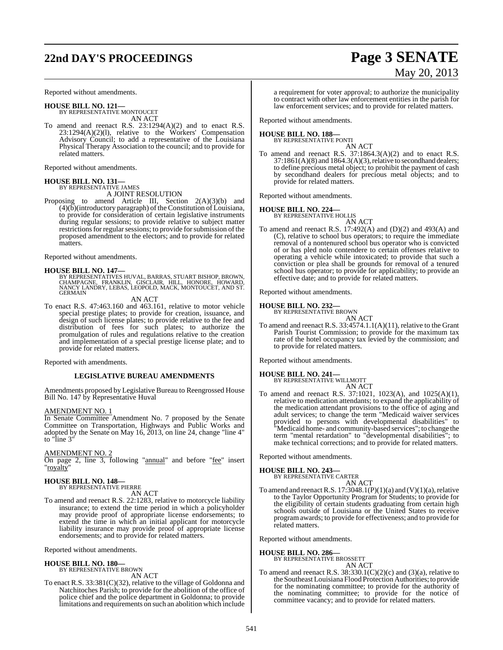# **22nd DAY'S PROCEEDINGS Page 3 SENATE**

# May 20, 2013

Reported without amendments.

**HOUSE BILL NO. 121—**

BY REPRESENTATIVE MONTOUCET AN ACT

To amend and reenact R.S. 23:1294(A)(2) and to enact R.S. 23:1294(A)(2)(l), relative to the Workers' Compensation Advisory Council; to add a representative of the Louisiana Physical Therapy Association to the council; and to provide for related matters.

Reported without amendments.

#### **HOUSE BILL NO. 131—** BY REPRESENTATIVE JAMES

A JOINT RESOLUTION

Proposing to amend Article III, Section 2(A)(3)(b) and  $(4)(\tilde{b})$ (introductory paragraph) of the Constitution of Louisiana, to provide for consideration of certain legislative instruments during regular sessions; to provide relative to subject matter restrictions for regular sessions; to provide for submission of the proposed amendment to the electors; and to provide for related matters.

Reported without amendments.

**HOUSE BILL NO. 147—**<br>BY REPRESENTATIVES HUVAL, BARRAS, STUART BISHOP, BROWN, CHAMPAGNE, FRANKLIN, GISCLAIR, HILL, HONORE, HOWARD,<br>NANCY LANDRY, LEBAS, LEOPOLD, MACK, MONTOUCET, AND ST.<br>GERMAIN

AN ACT

To enact R.S. 47:463.160 and 463.161, relative to motor vehicle special prestige plates; to provide for creation, issuance, and design of such license plates; to provide relative to the fee and distribution of fees for such plates; to authorize the promulgation of rules and regulations relative to the creation and implementation of a special prestige license plate; and to provide for related matters.

Reported with amendments.

#### **LEGISLATIVE BUREAU AMENDMENTS**

Amendments proposed by Legislative Bureau to Reengrossed House Bill No. 147 by Representative Huval

#### AMENDMENT NO. 1

In Senate Committee Amendment No. 7 proposed by the Senate Committee on Transportation, Highways and Public Works and adopted by the Senate on May 16, 2013, on line 24, change "line 4" to "line 3"

AMENDMENT NO. 2

On page 2, line 3, following "annual" and before "fee" insert "royalty"

#### **HOUSE BILL NO. 148—** BY REPRESENTATIVE PIERRE

AN ACT

To amend and reenact R.S. 22:1283, relative to motorcycle liability insurance; to extend the time period in which a policyholder may provide proof of appropriate license endorsements; to extend the time in which an initial applicant for motorcycle liability insurance may provide proof of appropriate license endorsements; and to provide for related matters.

Reported without amendments.

#### **HOUSE BILL NO. 180—**

BY REPRESENTATIVE BROWN AN ACT

To enact R.S. 33:381(C)(32), relative to the village of Goldonna and Natchitoches Parish; to provide for the abolition of the office of police chief and the police department in Goldonna; to provide limitations and requirements on such an abolition which include

a requirement for voter approval; to authorize the municipality to contract with other law enforcement entities in the parish for law enforcement services; and to provide for related matters.

Reported without amendments.

#### **HOUSE BILL NO. 188—**

BY REPRESENTATIVE PONTI

AN ACT To amend and reenact R.S. 37:1864.3(A)(2) and to enact R.S. 37:1861(A)(8) and 1864.3(A)(3), relative to secondhand dealers; to define precious metal object; to prohibit the payment of cash by secondhand dealers for precious metal objects; and to provide for related matters.

Reported without amendments.

# **HOUSE BILL NO. 224—** BY REPRESENTATIVE HOLLIS

- AN ACT
- To amend and reenact R.S. 17:492(A) and (D)(2) and 493(A) and (C), relative to school bus operators; to require the immediate removal of a nontenured school bus operator who is convicted of or has pled nolo contendere to certain offenses relative to operating a vehicle while intoxicated; to provide that such a conviction or plea shall be grounds for removal of a tenured school bus operator; to provide for applicability; to provide an effective date; and to provide for related matters.

Reported without amendments.

# **HOUSE BILL NO. 232—** BY REPRESENTATIVE BROWN

AN ACT

To amend and reenact R.S. 33:4574.1.1(A)(11), relative to the Grant Parish Tourist Commission; to provide for the maximum tax rate of the hotel occupancy tax levied by the commission; and to provide for related matters.

Reported without amendments.

#### **HOUSE BILL NO. 241—**

BY REPRESENTATIVE WILLMOTT AN ACT

To amend and reenact R.S. 37:1021, 1023(A), and 1025(A)(1), relative to medication attendants; to expand the applicability of the medication attendant provisions to the office of aging and adult services; to change the term "Medicaid waiver services provided to persons with developmental disabilities" to "Medicaid home- and community-based services"; to change the term "mental retardation" to "developmental disabilities"; to make technical corrections; and to provide for related matters.

Reported without amendments.

## **HOUSE BILL NO. 243—**

BY REPRESENTATIVE CARTER AN ACT

To amend and reenact R.S.  $17:3048.1(P)(1)(a)$  and  $(V)(1)(a)$ , relative to the Taylor Opportunity Program for Students; to provide for the eligibility of certain students graduating from certain high schools outside of Louisiana or the United States to receive program awards; to provide for effectiveness; and to provide for related matters.

Reported without amendments.

### **HOUSE BILL NO. 286—**

BY REPRESENTATIVE BROSSETT AN ACT

To amend and reenact R.S.  $38:330.1(C)(2)(c)$  and  $(3)(a)$ , relative to the SoutheastLouisiana Flood Protection Authorities; to provide for the nominating committee; to provide for the authority of the nominating committee; to provide for the notice of committee vacancy; and to provide for related matters.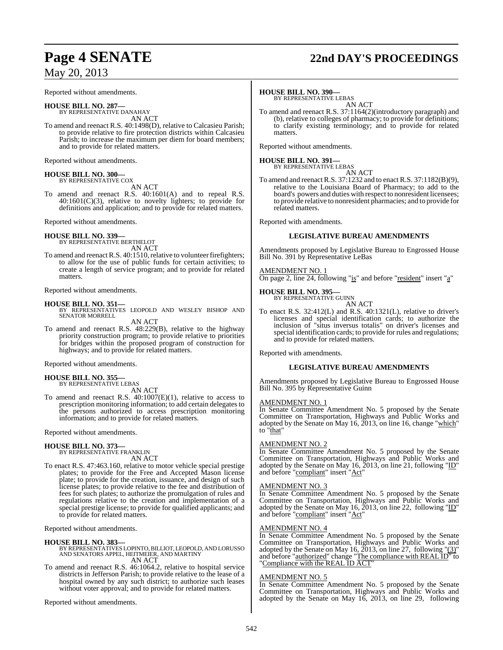Reported without amendments.

**HOUSE BILL NO. 287—**

BY REPRESENTATIVE DANAHAY AN ACT

To amend and reenact R.S. 40:1498(D), relative to Calcasieu Parish; to provide relative to fire protection districts within Calcasieu Parish; to increase the maximum per diem for board members; and to provide for related matters.

Reported without amendments.

#### **HOUSE BILL NO. 300—** BY REPRESENTATIVE COX

AN ACT

To amend and reenact R.S. 40:1601(A) and to repeal R.S.  $40:1601(C)(3)$ , relative to novelty lighters; to provide for definitions and application; and to provide for related matters.

Reported without amendments.

#### **HOUSE BILL NO. 339—**

BY REPRESENTATIVE BERTHELOT AN ACT

To amend and reenact R.S. 40:1510, relative to volunteer firefighters; to allow for the use of public funds for certain activities; to create a length of service program; and to provide for related matters.

Reported without amendments.

**HOUSE BILL NO. 351—** BY REPRESENTATIVES LEOPOLD AND WESLEY BISHOP AND SENATOR MORRELL

AN ACT

To amend and reenact R.S. 48:229(B), relative to the highway priority construction program; to provide relative to priorities for bridges within the proposed program of construction for highways; and to provide for related matters.

Reported without amendments.

**HOUSE BILL NO. 355—** BY REPRESENTATIVE LEBAS

AN ACT

To amend and reenact R.S.  $40:1007(E)(1)$ , relative to access to prescription monitoring information; to add certain delegates to the persons authorized to access prescription monitoring information; and to provide for related matters.

Reported without amendments.

## **HOUSE BILL NO. 373—**

BY REPRESENTATIVE FRANKLIN AN ACT

To enact R.S. 47:463.160, relative to motor vehicle special prestige plates; to provide for the Free and Accepted Mason license plate; to provide for the creation, issuance, and design of such license plates; to provide relative to the fee and distribution of fees for such plates; to authorize the promulgation of rules and regulations relative to the creation and implementation of a special prestige license; to provide for qualified applicants; and to provide for related matters.

Reported without amendments.

#### **HOUSE BILL NO. 383—**

BY REPRESENTATIVES LOPINTO, BILLIOT, LEOPOLD, AND LORUSSO AND SENATORS APPEL, HEITMEIER, AND MARTINY AN ACT

To amend and reenact R.S. 46:1064.2, relative to hospital service districts in Jefferson Parish; to provide relative to the lease of a hospital owned by any such district; to authorize such leases without voter approval; and to provide for related matters.

Reported without amendments.

# **Page 4 SENATE 22nd DAY'S PROCEEDINGS**

#### **HOUSE BILL NO. 390—**

BY REPRESENTATIVE LEBAS AN ACT

To amend and reenact R.S. 37:1164(2)(introductory paragraph) and (b), relative to colleges of pharmacy; to provide for definitions; to clarify existing terminology; and to provide for related matters.

Reported without amendments.

# **HOUSE BILL NO. 391—** BY REPRESENTATIVE LEBAS

AN ACT

To amend and reenact R.S. 37:1232 and to enact R.S. 37:1182(B)(9), relative to the Louisiana Board of Pharmacy; to add to the board's powers and duties with respect to nonresident licensees; to provide relative to nonresident pharmacies; and to provide for related matters.

Reported with amendments.

#### **LEGISLATIVE BUREAU AMENDMENTS**

Amendments proposed by Legislative Bureau to Engrossed House Bill No. 391 by Representative LeBas

#### AMENDMENT NO. 1

On page 2, line 24, following "is" and before "resident" insert "a"

## **HOUSE BILL NO. 395—**

BY REPRESENTATIVE GUINN

AN ACT To enact R.S. 32:412(L) and R.S. 40:1321(L), relative to driver's licenses and special identification cards; to authorize the inclusion of "situs inversus totalis" on driver's licenses and special identification cards; to provide for rules and regulations; and to provide for related matters.

Reported with amendments.

#### **LEGISLATIVE BUREAU AMENDMENTS**

Amendments proposed by Legislative Bureau to Engrossed House Bill No. 395 by Representative Guinn

#### AMENDMENT NO. 1

In Senate Committee Amendment No. 5 proposed by the Senate Committee on Transportation, Highways and Public Works and adopted by the Senate on May 16, 2013, on line 16, change "which" to "that"

#### AMENDMENT NO. 2

In Senate Committee Amendment No. 5 proposed by the Senate Committee on Transportation, Highways and Public Works and adopted by the Senate on May 16, 2013, on line 21, following "ID" and before "compliant" insert "Act"

#### AMENDMENT NO. 3

In Senate Committee Amendment No. 5 proposed by the Senate Committee on Transportation, Highways and Public Works and adopted by the Senate on May 16, 2013, on line 22, following " $ID$ " and before "compliant" insert "Act"

#### AMENDMENT NO. 4

In Senate Committee Amendment No. 5 proposed by the Senate Committee on Transportation, Highways and Public Works and adopted by the Senate on May 16, 2013, on line 27, following " $(3)$ " and before "authorized" change "The compliance with REAL ID" to "Compliance with the REAL ID ACT"

#### AMENDMENT NO. 5

In Senate Committee Amendment No. 5 proposed by the Senate Committee on Transportation, Highways and Public Works and adopted by the Senate on May 16, 2013, on line 29, following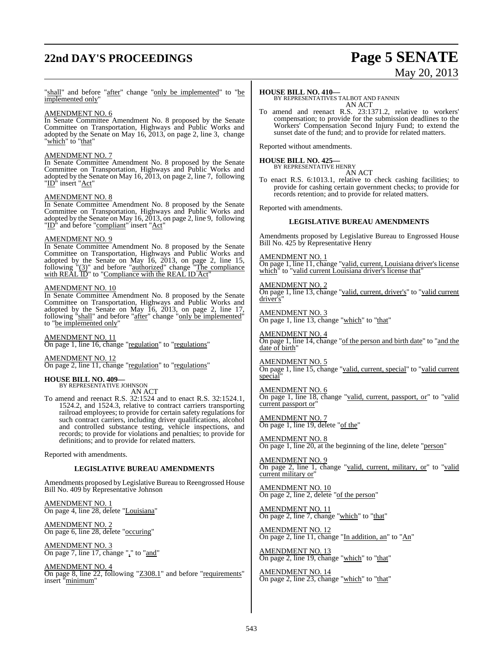# **22nd DAY'S PROCEEDINGS Page 5 SENATE**

# May 20, 2013

"shall" and before "after" change "only be implemented" to "be implemented only

## AMENDMENT NO. 6

In Senate Committee Amendment No. 8 proposed by the Senate Committee on Transportation, Highways and Public Works and adopted by the Senate on May 16, 2013, on page 2, line 3, change "<u>which</u>" to "that"

#### AMENDMENT NO. 7

In Senate Committee Amendment No. 8 proposed by the Senate Committee on Transportation, Highways and Public Works and adopted by the Senate on May 16, 2013, on page 2, line 7, following "ID<sup>†</sup> insert "<u>Act</u>"

#### AMENDMENT NO. 8

In Senate Committee Amendment No. 8 proposed by the Senate Committee on Transportation, Highways and Public Works and adopted by the Senate on May  $16, 2013$ , on page 2, line 9, following "ID<sup>\*</sup> and before "compliant" insert "Act"

#### AMENDMENT NO. 9

In Senate Committee Amendment No. 8 proposed by the Senate Committee on Transportation, Highways and Public Works and adopted by the Senate on May 16, 2013, on page 2, line 15, following "(3)" and before "authorized" change "The compliance with  $REAL \overline{ID}$ " to "Compliance with the REAL ID Act"

#### AMENDMENT NO. 10

In Senate Committee Amendment No. 8 proposed by the Senate Committee on Transportation, Highways and Public Works and adopted by the Senate on May 16, 2013, on page 2, line 17, following "shall" and before "after" change "only be implemented" to "be implemented only"

AMENDMENT NO. 11 On page 1, line 16, change "regulation" to "regulations"

AMENDMENT NO. 12 On page 2, line 11, change "regulation" to "regulations"

## **HOUSE BILL NO. 409—**

BY REPRESENTATIVE JOHNSON AN ACT

To amend and reenact R.S. 32:1524 and to enact R.S. 32:1524.1, 1524.2, and 1524.3, relative to contract carriers transporting railroad employees; to provide for certain safety regulations for such contract carriers, including driver qualifications, alcohol and controlled substance testing, vehicle inspections, and records; to provide for violations and penalties; to provide for definitions; and to provide for related matters.

Reported with amendments.

#### **LEGISLATIVE BUREAU AMENDMENTS**

Amendments proposed by Legislative Bureau to Reengrossed House Bill No. 409 by Representative Johnson

AMENDMENT NO. 1 On page 4, line 28, delete "Louisiana"

AMENDMENT NO. 2 On page 6, line 28, delete "occuring"

AMENDMENT NO. 3 On page 7, line 17, change "," to "and"

AMENDMENT NO. 4 On page 8, line 22, following "Z308.1" and before "requirements" insert "<u>minimum</u>"

#### **HOUSE BILL NO. 410—**

BY REPRESENTATIVES TALBOT AND FANNIN AN ACT

To amend and reenact R.S. 23:1371.2, relative to workers' compensation; to provide for the submission deadlines to the Workers' Compensation Second Injury Fund; to extend the sunset date of the fund; and to provide for related matters.

Reported without amendments.

# **HOUSE BILL NO. 425—** BY REPRESENTATIVE HENRY

AN ACT

To enact R.S. 6:1013.1, relative to check cashing facilities; to provide for cashing certain government checks; to provide for records retention; and to provide for related matters.

Reported with amendments.

#### **LEGISLATIVE BUREAU AMENDMENTS**

Amendments proposed by Legislative Bureau to Engrossed House Bill No. 425 by Representative Henry

AMENDMENT NO. 1

On page 1, line 11, change "valid, current, Louisiana driver's license which" to "valid current Louisiana driver's license that"

AMENDMENT NO. 2 On page 1, line 13, change "valid, current, driver's" to "valid current driver's'

AMENDMENT NO. 3 On page 1, line 13, change "which" to "that"

AMENDMENT NO. 4 On page 1, line 14, change "of the person and birth date" to "and the date of birth"

AMENDMENT NO. 5 On page 1, line 15, change "valid, current, special" to "valid current special

AMENDMENT NO. 6 On page 1, line 18, change "valid, current, passport, or" to "valid current passport or

AMENDMENT NO. 7 On page 1, line 19, delete "of the"

AMENDMENT NO. 8 On page 1, line 20, at the beginning of the line, delete "person"

AMENDMENT NO. 9 On page 2, line 1, change "valid, current, military, or" to "valid current military or"

AMENDMENT NO. 10 On page 2, line 2, delete "of the person"

AMENDMENT NO. 11 On page 2, line 7, change "which" to "that"

AMENDMENT NO. 12 On page 2, line 11, change "In addition, an" to "An"

AMENDMENT NO. 13 On page 2, line 19, change "which" to "that"

AMENDMENT NO. 14 On page 2, line 23, change "which" to "that"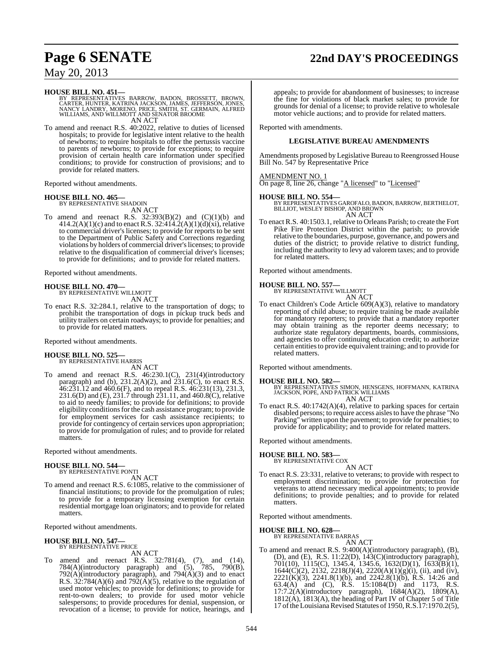# **Page 6 SENATE 22nd DAY'S PROCEEDINGS**

## May 20, 2013

#### **HOUSE BILL NO. 451—**

BY REPRESENTATIVES BARROW, BADON, BROSSETT, BROWN,<br>CARTER,HUNTER,KATRINA JACKSON,JAMES,JEFFERSON,JONES,<br>NANCY LANDRY,MORENO,PRICE,SMITH,ST.GERMAIN,ALFRED<br>WILLIAMS,AND WILLMOTT AND SENATOR BROOME AN ACT

To amend and reenact R.S. 40:2022, relative to duties of licensed hospitals; to provide for legislative intent relative to the health of newborns; to require hospitals to offer the pertussis vaccine to parents of newborns; to provide for exceptions; to require provision of certain health care information under specified conditions; to provide for construction of provisions; and to provide for related matters.

Reported without amendments.

# **HOUSE BILL NO. 465—** BY REPRESENTATIVE SHADOIN

AN ACT

To amend and reenact R.S.  $32:393(B)(2)$  and  $(C)(1)(b)$  and  $414.2(A)(1)(c)$  and to enact R.S. 32:414.2(A)(1)(d)(xi), relative to commercial driver's licenses; to provide for reports to be sent to the Department of Public Safety and Corrections regarding violations by holders of commercial driver's licenses; to provide relative to the disqualification of commercial driver's licenses; to provide for definitions; and to provide for related matters.

Reported without amendments.

**HOUSE BILL NO. 470—** BY REPRESENTATIVE WILLMOTT AN ACT

To enact R.S. 32:284.1, relative to the transportation of dogs; to prohibit the transportation of dogs in pickup truck beds and utility trailers on certain roadways; to provide for penalties; and to provide for related matters.

Reported without amendments.

#### **HOUSE BILL NO. 525—**

BY REPRESENTATIVE HARRIS AN ACT

To amend and reenact R.S. 46:230.1(C), 231(4)(introductory paragraph) and (b),  $231.2(A)(2)$ , and  $231.6(C)$ , to enact R.S. 46:231.12 and 460.6(F), and to repeal R.S. 46:231(13), 231.3, 231.6(D) and (E), 231.7 through 231.11, and 460.8(C), relative to aid to needy families; to provide for definitions; to provide eligibility conditionsfor the cash assistance program; to provide for employment services for cash assistance recipients; to provide for contingency of certain services upon appropriation; to provide for promulgation of rules; and to provide for related matters.

Reported without amendments.

#### **HOUSE BILL NO. 544—** BY REPRESENTATIVE PONTI

AN ACT

To amend and reenact R.S. 6:1085, relative to the commissioner of financial institutions; to provide for the promulgation of rules; to provide for a temporary licensing exemption for certain residential mortgage loan originators; and to provide for related matters.

Reported without amendments.

#### **HOUSE BILL NO. 547—** BY REPRESENTATIVE PRICE

AN ACT

To amend and reenact R.S. 32:781(4), (7), and (14), 784(A)(introductory paragraph) and (5), 785, 790(B), 792(A)(introductory paragraph), and 794(A)(3) and to enact R.S. 32:784(A)(6) and 792( $\hat{A}$ )(5), relative to the regulation of used motor vehicles; to provide for definitions; to provide for rent-to-own dealers; to provide for used motor vehicle salespersons; to provide procedures for denial, suspension, or revocation of a license; to provide for notice, hearings, and

appeals; to provide for abandonment of businesses; to increase the fine for violations of black market sales; to provide for grounds for denial of a license; to provide relative to wholesale motor vehicle auctions; and to provide for related matters.

Reported with amendments.

#### **LEGISLATIVE BUREAU AMENDMENTS**

Amendments proposed by Legislative Bureau to Reengrossed House Bill No. 547 by Representative Price

#### AMENDMENT NO. 1

On page 8, line 26, change "A licensed" to "Licensed"

**HOUSE BILL NO. 554—** BY REPRESENTATIVES GAROFALO, BADON, BARROW, BERTHELOT, BILLIOT, WESLEY BISHOP, AND BROWN AN ACT

To enact R.S. 40:1503.1, relative to Orleans Parish; to create the Fort Pike Fire Protection District within the parish; to provide relative to the boundaries, purpose, governance, and powers and duties of the district; to provide relative to district funding, including the authority to levy ad valorem taxes; and to provide for related matters.

Reported without amendments.

#### **HOUSE BILL NO. 557—**

BY REPRESENTATIVE WILLMOTT

AN ACT To enact Children's Code Article 609(A)(3), relative to mandatory reporting of child abuse; to require training be made available for mandatory reporters; to provide that a mandatory reporter may obtain training as the reporter deems necessary; to authorize state regulatory departments, boards, commissions, and agencies to offer continuing education credit; to authorize certain entitiesto provide equivalent training; and to provide for related matters.

Reported without amendments.

#### **HOUSE BILL NO. 582—**

BY REPRESENTATIVES SIMON, HENSGENS, HOFFMANN, KATRINA JACKSON, POPE, AND PATRICK WILLIAMS AN ACT

To enact R.S. 40:1742(A)(4), relative to parking spaces for certain disabled persons; to require access aislesto have the phrase "No Parking" written upon the pavement; to provide for penalties; to provide for applicability; and to provide for related matters.

Reported without amendments.

#### **HOUSE BILL NO. 583—**

BY REPRESENTATIVE COX AN ACT

To enact R.S. 23:331, relative to veterans; to provide with respect to employment discrimination; to provide for protection for veterans to attend necessary medical appointments; to provide definitions; to provide penalties; and to provide for related matters.

Reported without amendments.

#### **HOUSE BILL NO. 628—**

BY REPRESENTATIVE BARRAS

AN ACT To amend and reenact R.S. 9:400(A)(introductory paragraph), (B), (D), and (E), R.S. 11:22(D), 143(C)(introductory paragraph), 701(10), 1115(C), 1345.4, 1345.6, 1632(D)(1), 1633(B)(1),  $1644(C)(2)$ ,  $2132$ ,  $2218(J)(4)$ ,  $2220(A)(1)(g)(i)$ , (ii), and (iv), 2221(K)(3), 2241.8(1)(b), and 2242.8(1)(b), R.S. 14:26 and 63.4(A) and (C), R.S. 15:1084(D) and 1173, R.S. 17:7.2(A)(introductory paragraph), 1684(A)(2), 1809(A), 1812(A), 1813(A), the heading of Part IV of Chapter 5 of Title 17 of the Louisiana Revised Statutes of 1950, R.S. 17:1970.2(5),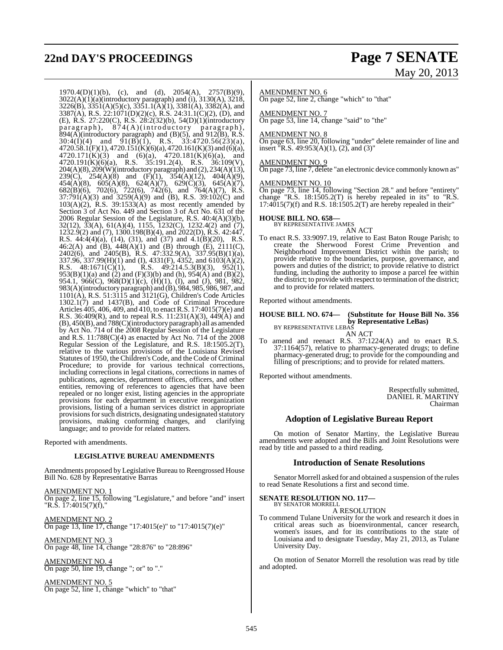# **22nd DAY'S PROCEEDINGS Page 7 SENATE**

# May 20, 2013

 $1970.4(D)(1)(b)$ , (c), and (d),  $2054(A)$ ,  $2757(B)(9)$ , 3022(A)(1)(a)(introductory paragraph) and (i), 3130(A), 3218, 3226(B), 3351(A)(5)(c), 3351.1(A)(1), 3381(A), 3382(A), and 3387(A), R.S. 22:1071(D)(2)(c), R.S. 24:31.1(C)(2), (D), and (E), R.S. 27:220(C), R.S. 28:2(32)(b), 54(D)(1)(introductory paragraph), 874(A)(introductory paragraph),  $894(A)$ (introductory paragraph) and (B)(5), and 912(B), R.S.  $30:4(I)(4)$  and  $91(B)(1)$ , R.S.  $33:4720.56(23)(a)$ ,  $4720.58.1(F)(1)$ ,  $4720.151(K)(6)(a)$ ,  $4720.161(K)(3)$  and  $(6)(a)$ ,  $4720.171(K)(3)$  and  $(6)(a)$ ,  $4720.181(K)(6)(a)$ , and 4720.191(K)(6)(a), R.S. 35:191.2(4), R.S. 36:109(V),  $204(A)(8)$ ,  $209(W)$ (introductory paragraph) and  $(2)$ ,  $234(A)(13)$ , 239(C), 254(A)(8) and (F)(1), 354(A)(12), 404(A)(9), 454(A)(8), 605(A)(8), 624(A)(7), 629(C)(3), 645(A)(7), 682(B)(6), 702(6), 722(6), 742(6), and 764(A)(7), R.S.  $37:791(A)(3)$  and  $3259(A)(9)$  and (B), R.S.  $39:102(C)$  and 103(A)(2), R.S. 39:1533(A) as most recently amended by Section 3 of Act No. 449 and Section 3 of Act No. 631 of the 2006 Regular Session of the Legislature, R.S. 40:4(A)(3)(b), 32(12), 33(A), 61(A)(4), 1155, 1232(C), 1232.4(2) and (7), 1232.9(2) and (7), 1300.198(B)(4), and 2022(D), R.S. 42:447, R.S. 44:4(4)(a), (14), (31), and (37) and 4.1(B)(20), R.S. 46:2(A) and (B),  $448(A)(1)$  and (B) through (E),  $2111(C)$ , 2402(6), and 2405(B), R.S. 47:332.9(A), 337.95(B)(1)(a), 337.96, 337.99(H)(1) and (I), 4331(F), 4352, and 6103(A)(2), R.S.  $48:1671(\text{C})(1)$ , R.S.  $49:214.5.3(\text{B})(3)$ ,  $952(1)$ ,  $953(B)(1)(a)$  and  $(2)$  and  $(F)(3)(b)$  and  $(h)$ ,  $954(A)$  and  $(B)(2)$ , 954.1, 966(C), 968(D)(1)(c), (H)(1), (I), and (J), 981, 982, 983(A)(introductory paragraph) and (B), 984, 985, 986, 987, and 1101(A), R.S. 51:3115 and 3121(G), Children's Code Articles 1302.1(7) and 1437(B), and Code of Criminal Procedure Articles 405, 406, 409, and 410, to enact R.S. 17:4015(7)(e) and R.S. 36:409(R), and to repeal R.S. 11:231(A)(3),  $449(A)$  and (B), 450(B), and 788(C)(introductory paragraph) all as amended by Act No. 714 of the 2008 Regular Session of the Legislature and R.S.  $11:788(C)(4)$  as enacted by Act No. 714 of the 2008 Regular Session of the Legislature, and R.S. 18:1505.2(T), relative to the various provisions of the Louisiana Revised Statutes of 1950, the Children's Code, and the Code of Criminal Procedure; to provide for various technical corrections, including corrections in legal citations, corrections in names of publications, agencies, department offices, officers, and other entities, removing of references to agencies that have been repealed or no longer exist, listing agencies in the appropriate provisions for each department in executive reorganization provisions, listing of a human services district in appropriate provisions for such districts, designating undesignated statutory provisions, making conforming changes, and clarifying language; and to provide for related matters.

Reported with amendments.

#### **LEGISLATIVE BUREAU AMENDMENTS**

Amendments proposed by Legislative Bureau to Reengrossed House Bill No. 628 by Representative Barras

AMENDMENT NO. 1 On page 2, line 15, following "Legislature," and before "and" insert "R.S. 17:4015(7)(f),"

AMENDMENT NO. 2 On page 13, line 17, change "17:4015(e)" to "17:4015(7)(e)"

AMENDMENT NO. 3 On page 48, line 14, change "28:876" to "28:896"

AMENDMENT NO. 4 On page 50, line 19, change "; or" to "."

AMENDMENT NO. 5 On page 52, line 1, change "which" to "that"

#### AMENDMENT NO. 6

On page 52, line 2, change "which" to "that"

AMENDMENT NO. 7 On page 53, line 14, change "said" to "the"

#### AMENDMENT NO. 8

On page 63, line 20, following "under" delete remainder of line and insert "R.S. 49:953(A)(1), (2), and (3)"

#### AMENDMENT NO. 9

On page 73, line 7, delete "an electronic device commonly known as"

#### AMENDMENT NO. 10

On page 73, line 14, following "Section 28." and before "entirety" change "R.S. 18:1505.2(T) is hereby repealed in its" to "R.S.  $17:4015(7)(f)$  and R.S.  $18:1505.2(T)$  are hereby repealed in their"

# **HOUSE BILL NO. 658—** BY REPRESENTATIVE JAMES

AN ACT

To enact R.S. 33:9097.19, relative to East Baton Rouge Parish; to create the Sherwood Forest Crime Prevention and Neighborhood Improvement District within the parish; to provide relative to the boundaries, purpose, governance, and powers and duties of the district; to provide relative to district funding, including the authority to impose a parcel fee within the district; to provide with respect to termination of the district; and to provide for related matters.

Reported without amendments.

## **HOUSE BILL NO. 674— (Substitute for House Bill No. 356 by Representative LeBas)** BY REPRESENTATIVE LEBAS

AN ACT

To amend and reenact R.S. 37:1224(A) and to enact R.S. 37:1164(57), relative to pharmacy-generated drugs; to define pharmacy-generated drug; to provide for the compounding and filling of prescriptions; and to provide for related matters.

Reported without amendments.

Respectfully submitted, DANIEL R. MARTINY Chairman

#### **Adoption of Legislative Bureau Report**

On motion of Senator Martiny, the Legislative Bureau amendments were adopted and the Bills and Joint Resolutions were read by title and passed to a third reading.

#### **Introduction of Senate Resolutions**

Senator Morrell asked for and obtained a suspension of the rules to read Senate Resolutions a first and second time.

#### **SENATE RESOLUTION NO. 117—** BY SENATOR MORRELL

A RESOLUTION

To commend Tulane University for the work and research it does in critical areas such as bioenvironmental, cancer research, women's issues, and for its contributions to the state of Louisiana and to designate Tuesday, May 21, 2013, as Tulane University Day.

On motion of Senator Morrell the resolution was read by title and adopted.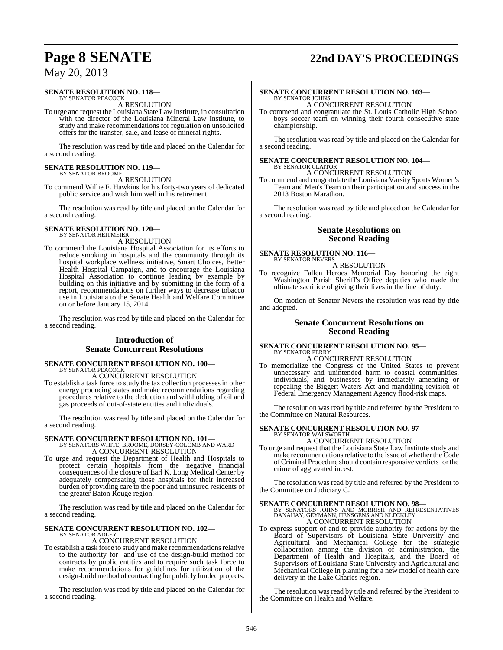# **Page 8 SENATE 22nd DAY'S PROCEEDINGS**

## May 20, 2013

#### **SENATE RESOLUTION NO. 118—** BY SENATOR PEACOCK

A RESOLUTION

To urge and request the Louisiana State Law Institute, in consultation with the director of the Louisiana Mineral Law Institute, to study and make recommendations for regulation on unsolicited offers for the transfer, sale, and lease of mineral rights.

The resolution was read by title and placed on the Calendar for a second reading.

# **SENATE RESOLUTION NO. 119—** BY SENATOR BROOME

A RESOLUTION

To commend Willie F. Hawkins for his forty-two years of dedicated public service and wish him well in his retirement.

The resolution was read by title and placed on the Calendar for a second reading.

#### **SENATE RESOLUTION NO. 120—** BY SENATOR HEITMEIER

A RESOLUTION

To commend the Louisiana Hospital Association for its efforts to reduce smoking in hospitals and the community through its hospital workplace wellness initiative, Smart Choices, Better Health Hospital Campaign, and to encourage the Louisiana Hospital Association to continue leading by example by building on this initiative and by submitting in the form of a report, recommendations on further ways to decrease tobacco use in Louisiana to the Senate Health and Welfare Committee on or before January 15, 2014.

The resolution was read by title and placed on the Calendar for a second reading.

### **Introduction of Senate Concurrent Resolutions**

#### **SENATE CONCURRENT RESOLUTION NO. 100—** BY SENATOR PEACOCK

A CONCURRENT RESOLUTION

To establish a task force to study the tax collection processesin other energy producing states and make recommendations regarding procedures relative to the deduction and withholding of oil and gas proceeds of out-of-state entities and individuals.

The resolution was read by title and placed on the Calendar for a second reading.

**SENATE CONCURRENT RESOLUTION NO. 101—**<br>BY SENATORS WHITE, BROOME, DORSEY-COLOMB AND WARD<br>A CONCURRENT RESOLUTION

To urge and request the Department of Health and Hospitals to protect certain hospitals from the negative financial consequences of the closure of Earl K. Long Medical Center by adequately compensating those hospitals for their increased burden of providing care to the poor and uninsured residents of the greater Baton Rouge region.

The resolution was read by title and placed on the Calendar for a second reading.

#### **SENATE CONCURRENT RESOLUTION NO. 102—** BY SENATOR ADLEY

#### A CONCURRENT RESOLUTION

To establish a task force to study and make recommendationsrelative to the authority for and use of the design-build method for contracts by public entities and to require such task force to make recommendations for guidelines for utilization of the design-build method of contracting for publicly funded projects.

The resolution was read by title and placed on the Calendar for a second reading.

#### **SENATE CONCURRENT RESOLUTION NO. 103—** BY SENATOR JOHNS A CONCURRENT RESOLUTION

To commend and congratulate the St. Louis Catholic High School boys soccer team on winning their fourth consecutive state championship.

The resolution was read by title and placed on the Calendar for a second reading.

# **SENATE CONCURRENT RESOLUTION NO. 104—** BY SENATOR CLAITOR

A CONCURRENT RESOLUTION

To commend and congratulate the Louisiana Varsity Sports Women's Team and Men's Team on their participation and success in the 2013 Boston Marathon.

The resolution was read by title and placed on the Calendar for a second reading.

#### **Senate Resolutions on Second Reading**

#### **SENATE RESOLUTION NO. 116—** BY SENATOR NEVERS

A RESOLUTION

To recognize Fallen Heroes Memorial Day honoring the eight Washington Parish Sheriff's Office deputies who made the ultimate sacrifice of giving their lives in the line of duty.

On motion of Senator Nevers the resolution was read by title and adopted.

#### **Senate Concurrent Resolutions on Second Reading**

#### **SENATE CONCURRENT RESOLUTION NO. 95—** BY SENATOR PERRY

A CONCURRENT RESOLUTION

To memorialize the Congress of the United States to prevent unnecessary and unintended harm to coastal communities, individuals, and businesses by immediately amending or repealing the Biggert-Waters Act and mandating revision of Federal Emergency Management Agency flood-risk maps.

The resolution was read by title and referred by the President to the Committee on Natural Resources.

#### **SENATE CONCURRENT RESOLUTION NO. 97—** BY SENATOR WALSWORTH

A CONCURRENT RESOLUTION

To urge and request that the Louisiana State Law Institute study and make recommendations relative to the issue of whether the Code of Criminal Procedure should contain responsive verdicts for the crime of aggravated incest.

The resolution was read by title and referred by the President to the Committee on Judiciary C.

**SENATE CONCURRENT RESOLUTION NO. 98—**<br>BY SENATORS JOHNS AND MORRISH AND REPRESENTATIVES<br>DANAHAY, GEYMANN, HENSGENS AND KLECKLEY A CONCURRENT RESOLUTION

To express support of and to provide authority for actions by the Board of Supervisors of Louisiana State University and Agricultural and Mechanical College for the strategic collaboration among the division of administration, the Department of Health and Hospitals, and the Board of Supervisors of Louisiana State University and Agricultural and Mechanical College in planning for a new model of health care delivery in the Lake Charles region.

The resolution was read by title and referred by the President to the Committee on Health and Welfare.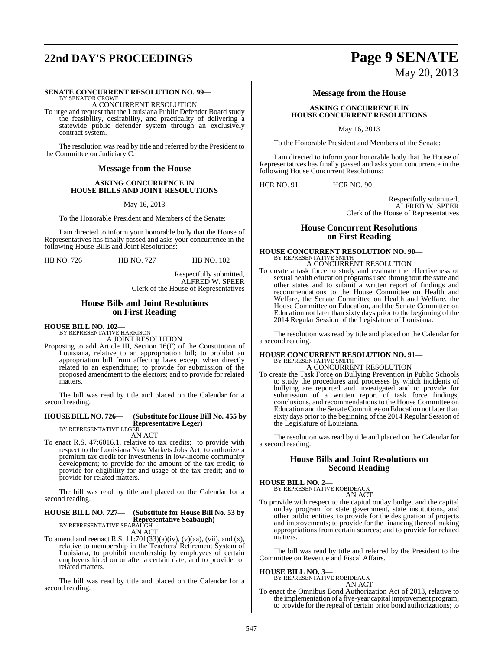# **22nd DAY'S PROCEEDINGS Page 9 SENATE**

#### **SENATE CONCURRENT RESOLUTION NO. 99—**

BY SENATOR CROWE A CONCURRENT RESOLUTION

To urge and request that the Louisiana Public Defender Board study the feasibility, desirability, and practicality of delivering a statewide public defender system through an exclusively contract system.

The resolution was read by title and referred by the President to the Committee on Judiciary C.

#### **Message from the House**

#### **ASKING CONCURRENCE IN HOUSE BILLS AND JOINT RESOLUTIONS**

May 16, 2013

To the Honorable President and Members of the Senate:

I am directed to inform your honorable body that the House of Representatives has finally passed and asks your concurrence in the following House Bills and Joint Resolutions:

HB NO. 726 HB NO. 727 HB NO. 102

Respectfully submitted, ALFRED W. SPEER Clerk of the House of Representatives

#### **House Bills and Joint Resolutions on First Reading**

#### **HOUSE BILL NO. 102—**

BY REPRESENTATIVE HARRISON A JOINT RESOLUTION

Proposing to add Article III, Section 16(F) of the Constitution of Louisiana, relative to an appropriation bill; to prohibit an appropriation bill from affecting laws except when directly related to an expenditure; to provide for submission of the proposed amendment to the electors; and to provide for related matters.

The bill was read by title and placed on the Calendar for a second reading.

#### **HOUSE BILL NO. 726— (Substitute for HouseBill No. 455 by Representative Leger)** BY REPRESENTATIVE LEGER

AN ACT

To enact R.S. 47:6016.1, relative to tax credits; to provide with respect to the Louisiana New Markets Jobs Act; to authorize a premium tax credit for investments in low-income community development; to provide for the amount of the tax credit; to provide for eligibility for and usage of the tax credit; and to provide for related matters.

The bill was read by title and placed on the Calendar for a second reading.

## **HOUSE BILL NO. 727— (Substitute for House Bill No. 53 by Representative Seabaugh)**<br>BY REPRESENTATIVE SEABAUGH

AN ACT

To amend and reenact R.S.  $11:701(33)(a)(iv)$ ,  $(v)(aa)$ ,  $(vii)$ , and  $(x)$ , relative to membership in the Teachers' Retirement System of Louisiana; to prohibit membership by employees of certain employers hired on or after a certain date; and to provide for related matters.

The bill was read by title and placed on the Calendar for a second reading.

# May 20, 2013

## **Message from the House**

#### **ASKING CONCURRENCE IN HOUSE CONCURRENT RESOLUTIONS**

May 16, 2013

To the Honorable President and Members of the Senate:

I am directed to inform your honorable body that the House of Representatives has finally passed and asks your concurrence in the following House Concurrent Resolutions:

HCR NO. 91 HCR NO. 90

Respectfully submitted, ALFRED W. SPEER Clerk of the House of Representatives

#### **House Concurrent Resolutions on First Reading**

## **HOUSE CONCURRENT RESOLUTION NO. 90—** BY REPRESENTATIVE SMITH A CONCURRENT RESOLUTION

To create a task force to study and evaluate the effectiveness of sexual health education programs used throughout the state and other states and to submit a written report of findings and recommendations to the House Committee on Health and Welfare, the Senate Committee on Health and Welfare, the House Committee on Education, and the Senate Committee on Education not later than sixty days prior to the beginning of the 2014 Regular Session of the Legislature of Louisiana.

The resolution was read by title and placed on the Calendar for a second reading.

#### **HOUSE CONCURRENT RESOLUTION NO. 91—** BY REPRESENTATIVE SMITH

A CONCURRENT RESOLUTION To create the Task Force on Bullying Prevention in Public Schools to study the procedures and processes by which incidents of bullying are reported and investigated and to provide for submission of a written report of task force findings, conclusions, and recommendations to the House Committee on Education and the Senate Committee on Education not later than sixty days prior to the beginning of the 2014 Regular Session of the Legislature of Louisiana.

The resolution was read by title and placed on the Calendar for a second reading.

#### **House Bills and Joint Resolutions on Second Reading**

#### **HOUSE BILL NO. 2—**

BY REPRESENTATIVE ROBIDEAUX AN ACT

To provide with respect to the capital outlay budget and the capital outlay program for state government, state institutions, and other public entities; to provide for the designation of projects and improvements; to provide for the financing thereof making appropriations from certain sources; and to provide for related matters.

The bill was read by title and referred by the President to the Committee on Revenue and Fiscal Affairs.

**HOUSE BILL NO. 3—**

BY REPRESENTATIVE ROBIDEAUX AN ACT

To enact the Omnibus Bond Authorization Act of 2013, relative to the implementation of a five-year capital improvement program; to provide for the repeal of certain prior bond authorizations; to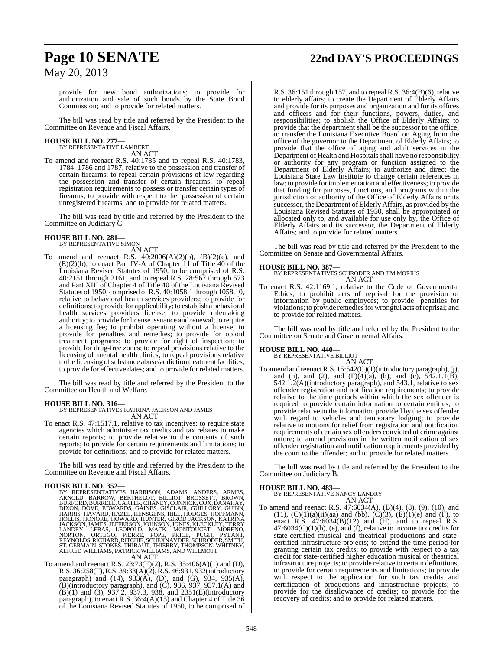# **Page 10 SENATE 22nd DAY'S PROCEEDINGS**

May 20, 2013

provide for new bond authorizations; to provide for authorization and sale of such bonds by the State Bond Commission; and to provide for related matters.

The bill was read by title and referred by the President to the Committee on Revenue and Fiscal Affairs.

#### **HOUSE BILL NO. 277—** BY REPRESENTATIVE LAMBERT

AN ACT

To amend and reenact R.S. 40:1785 and to repeal R.S. 40:1783, 1784, 1786 and 1787, relative to the possession and transfer of certain firearms; to repeal certain provisions of law regarding the possession and transfer of certain firearms; to repeal registration requirements to possess or transfer certain types of firearms; to provide with respect to the possession of certain unregistered firearms; and to provide for related matters.

The bill was read by title and referred by the President to the Committee on Judiciary C.

# **HOUSE BILL NO. 281—** BY REPRESENTATIVE SIMON

AN ACT

To amend and reenact R.S. 40:2006(A)(2)(b), (B)(2)(e), and (E)(2)(b), to enact Part IV-A of Chapter 11 of Title 40 of the Louisiana Revised Statutes of 1950, to be comprised of R.S. 40:2151 through 2161, and to repeal R.S. 28:567 through 573 and Part XIII of Chapter 4 of Title 40 of the Louisiana Revised Statutes of 1950, comprised ofR.S. 40:1058.1 through 1058.10, relative to behavioral health services providers; to provide for definitions; to provide for applicability; to establish a behavioral health services providers license; to provide rulemaking authority; to provide for license issuance and renewal; to require a licensing fee; to prohibit operating without a license; to provide for penalties and remedies; to provide for opioid treatment programs; to provide for right of inspection; to provide for drug-free zones; to repeal provisions relative to the licensing of mental health clinics; to repeal provisions relative to the licensing of substance abuse/addiction treatment facilities; to provide for effective dates; and to provide for related matters.

The bill was read by title and referred by the President to the Committee on Health and Welfare.

**HOUSE BILL NO. 316—** BY REPRESENTATIVES KATRINA JACKSON AND JAMES AN ACT

To enact R.S. 47:1517.1, relative to tax incentives; to require state agencies which administer tax credits and tax rebates to make certain reports; to provide relative to the contents of such reports; to provide for certain requirements and limitations; to provide for definitions; and to provide for related matters.

The bill was read by title and referred by the President to the Committee on Revenue and Fiscal Affairs.

**HOUSE BILL NO. 352—**<br>BY REPRESENTATIVES HARRISON, ADAMS, ANDERS, ARMES, ARNOLD, BARROW, BERTHELOT, BILLIOT, BROSSETT, BROWN, BURFORD, BURRELL, CARTER, CHANEY, CONNICK, COX, DANAHAY, DIXON, DOVE, EDWARDS, GAINES, GISCLAIR,

To amend and reenact R.S. 23:73(E)(2), R.S. 35:406(A)(1) and (D), R.S. 36:258(F), R.S. 39:33(A)(2), R.S. 46:931, 932(introductory paragraph) and (14), 933(A), (D), and (G), 934, 935(A),  $(B)$ (introductory paragraph), and  $(C)$ , 936, 937, 937.1(A) and (B)(1) and (3), 937.2, 937.3, 938, and 2351(E)(introductory paragraph), to enact R.S. 36:4(A)(15) and Chapter 4 of Title 36 of the Louisiana Revised Statutes of 1950, to be comprised of

R.S. 36:151 through 157, and to repeal R.S. 36:4(B)(6), relative to elderly affairs; to create the Department of Elderly Affairs and provide for its purposes and organization and for its offices and officers and for their functions, powers, duties, and responsibilities; to abolish the Office of Elderly Affairs; to provide that the department shall be the successor to the office; to transfer the Louisiana Executive Board on Aging from the office of the governor to the Department of Elderly Affairs; to provide that the office of aging and adult services in the Department of Health and Hospitals shall have no responsibility or authority for any program or function assigned to the Department of Elderly Affairs; to authorize and direct the Louisiana State Law Institute to change certain references in law; to provide forimplementation and effectiveness; to provide that funding for purposes, functions, and programs within the jurisdiction or authority of the Office of Elderly Affairs or its successor, the Department of Elderly Affairs, as provided by the Louisiana Revised Statutes of 1950, shall be appropriated or allocated only to, and available for use only by, the Office of Elderly Affairs and its successor, the Department of Elderly Affairs; and to provide for related matters.

The bill was read by title and referred by the President to the Committee on Senate and Governmental Affairs.

**HOUSE BILL NO. 387—** BY REPRESENTATIVES SCHRODER AND JIM MORRIS AN ACT

To enact R.S. 42:1169.1, relative to the Code of Governmental Ethics; to prohibit acts of reprisal for the provision of information by public employees; to provide penalties for violations; to provide remedies for wrongful acts of reprisal; and to provide for related matters.

The bill was read by title and referred by the President to the Committee on Senate and Governmental Affairs.

### **HOUSE BILL NO. 440—**

BY REPRESENTATIVE BILLIOT AN ACT

To amend and reenact R.S. 15:542(C)(1)(introductory paragraph), (j), and (n), and (2), and  $(F)(4)(a)$ , (b), and (c), 542.1.1(B), 542.1.2(A)(introductory paragraph), and 543.1, relative to sex offender registration and notification requirements; to provide relative to the time periods within which the sex offender is required to provide certain information to certain entities; to provide relative to the information provided by the sex offender with regard to vehicles and temporary lodging; to provide relative to motions for relief from registration and notification requirements of certain sex offenders convicted of crime against nature; to amend provisions in the written notification of sex offender registration and notification requirements provided by the court to the offender; and to provide for related matters.

The bill was read by title and referred by the President to the Committee on Judiciary B.

#### **HOUSE BILL NO. 483—**

BY REPRESENTATIVE NANCY LANDRY AN ACT

To amend and reenact R.S. 47:6034(A), (B)(4), (8), (9), (10), and (11),  $(C)(1)(a)(ii)(aa)$  and (bb),  $(C)(3)$ ,  $(E)(1)(e)$  and  $(F)$ , to enact R.S.  $47:6034(B)(12)$  and  $(H)$ , and to repeal R.S.  $47:6034(C)(1)(b)$ , (e), and (f), relative to income tax credits for state-certified musical and theatrical productions and statecertified infrastructure projects; to extend the time period for granting certain tax credits; to provide with respect to a tax credit for state-certified higher education musical or theatrical infrastructure projects; to provide relative to certain definitions; to provide for certain requirements and limitations; to provide with respect to the application for such tax credits and certification of productions and infrastructure projects; to provide for the disallowance of credits; to provide for the recovery of credits; and to provide for related matters.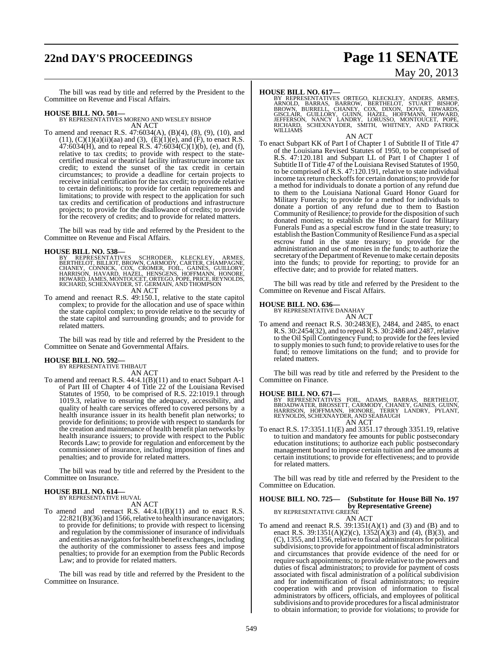# **22nd DAY'S PROCEEDINGS Page 11 SENATE**

# May 20, 2013

The bill was read by title and referred by the President to the Committee on Revenue and Fiscal Affairs.

#### **HOUSE BILL NO. 501—**

BY REPRESENTATIVES MORENO AND WESLEY BISHOP AN ACT

To amend and reenact R.S. 47:6034(A), (B)(4), (8), (9), (10), and  $(11)$ ,  $(C)(1)(a)(ii)(aa)$  and  $(3)$ ,  $(E)(1)(e)$ , and  $(F)$ , to enact R.S.  $47:6034$ (H), and to repeal R.S.  $47:6034$ (C)(1)(b), (e), and (f), relative to tax credits; to provide with respect to the statecertified musical or theatrical facility infrastructure income tax credit; to extend the sunset of the tax credit in certain circumstances; to provide a deadline for certain projects to receive initial certification for the tax credit; to provide relative to certain definitions; to provide for certain requirements and limitations; to provide with respect to the application for such tax credits and certification of productions and infrastructure projects; to provide for the disallowance of credits; to provide for the recovery of credits; and to provide for related matters.

The bill was read by title and referred by the President to the Committee on Revenue and Fiscal Affairs.

#### **HOUSE BILL NO. 538—**

BY REPRESENTATIVES SCHRODER, KLECKLEY, ARMES,<br>BERTHELOT,BILLIOT,BROWN,CARMODY,CARTER,CHAMPAGNE,<br>CHANEY,CONNICK,COX,CROMER,FOLL,GAINES,GUILLORY,<br>HARRISON,HAVARD,HAZEL,HENSGENS,HOFFMANN,HONORE,<br>HOWARD,SCHEXNAYDER,ST.GERMAIN, AN ACT

To amend and reenact R.S. 49:150.1, relative to the state capitol complex; to provide for the allocation and use of space within the state capitol complex; to provide relative to the security of the state capitol and surrounding grounds; and to provide for related matters.

The bill was read by title and referred by the President to the Committee on Senate and Governmental Affairs.

# **HOUSE BILL NO. 592—** BY REPRESENTATIVE THIBAUT

AN ACT

To amend and reenact R.S. 44:4.1(B)(11) and to enact Subpart A-1 of Part III of Chapter 4 of Title 22 of the Louisiana Revised Statutes of 1950, to be comprised of R.S. 22:1019.1 through 1019.3, relative to ensuring the adequacy, accessibility, and quality of health care services offered to covered persons by a health insurance issuer in its health benefit plan networks; to provide for definitions; to provide with respect to standards for the creation and maintenance of health benefit plan networks by health insurance issuers; to provide with respect to the Public Records Law; to provide for regulation and enforcement by the commissioner of insurance, including imposition of fines and penalties; and to provide for related matters.

The bill was read by title and referred by the President to the Committee on Insurance.

#### **HOUSE BILL NO. 614—** BY REPRESENTATIVE HUVAL

AN ACT

To amend and reenact R.S. 44:4.1(B)(11) and to enact R.S.  $22.821(B)(36)$  and 1566, relative to health insurance navigators; to provide for definitions; to provide with respect to licensing and regulation by the commissioner of insurance of individuals and entities as navigators for health benefit exchanges, including the authority of the commissioner to assess fees and impose penalties; to provide for an exemption from the Public Records Law; and to provide for related matters.

The bill was read by title and referred by the President to the Committee on Insurance.

**HOUSE BILL NO. 617—**<br>BY REPRESENTATIVES ORTEGO, KLECKLEY, ANDERS, ARMES, ARNOLD, BARRAS, BARROW, BERTHELOT, STUART BISHOP,<br>BROWN, BURRELL, CHANEY, COX, DIXON, DOVE, EDWARDS,<br>GISCLAIR, GUILLORY, GUINN, HAZEL, HOFFMANN, HOW

AN ACT

To enact Subpart KK of Part I of Chapter 1 of Subtitle II of Title 47 of the Louisiana Revised Statutes of 1950, to be comprised of R.S. 47:120.181 and Subpart LL of Part I of Chapter 1 of Subtitle II of Title 47 of the Louisiana Revised Statutes of 1950, to be comprised of R.S. 47:120.191, relative to state individual income tax return checkoffs for certain donations; to provide for a method for individuals to donate a portion of any refund due to them to the Louisiana National Guard Honor Guard for Military Funerals; to provide for a method for individuals to donate a portion of any refund due to them to Bastion Community of Resilience; to provide for the disposition of such donated monies; to establish the Honor Guard for Military Funerals Fund as a special escrow fund in the state treasury; to establish the Bastion Community of Resilience Fund as a special escrow fund in the state treasury; to provide for the administration and use of monies in the funds; to authorize the secretary of the Department of Revenue to make certain deposits into the funds; to provide for reporting; to provide for an effective date; and to provide for related matters.

The bill was read by title and referred by the President to the Committee on Revenue and Fiscal Affairs.

# **HOUSE BILL NO. 636—** BY REPRESENTATIVE DANAHAY

AN ACT

To amend and reenact R.S. 30:2483(E), 2484, and 2485, to enact R.S. 30:2454(32), and to repeal R.S. 30:2486 and 2487, relative to the Oil Spill Contingency Fund; to provide for the feeslevied to supply monies to such fund; to provide relative to uses for the fund; to remove limitations on the fund; and to provide for related matters.

The bill was read by title and referred by the President to the Committee on Finance.

**HOUSE BILL NO. 671—**<br>BY REPRESENTATIVES FOIL, ADAMS, BARRAS, BERTHELOT,<br>BROADWATER, BROSSETT, CARMODY, CHANEY, GAINES, GUINN,<br>HARRISON, HOFFMANN, HONORE, TERRY LANDRY, PYLANT,<br>REYNOLDS, SCHEXNAYDER, AND SEABAUGH AN ACT

To enact R.S. 17:3351.11(E) and 3351.17 through 3351.19, relative to tuition and mandatory fee amounts for public postsecondary education institutions; to authorize each public postsecondary management board to impose certain tuition and fee amounts at certain institutions; to provide for effectiveness; and to provide for related matters.

The bill was read by title and referred by the President to the Committee on Education.

#### **HOUSE BILL NO. 725— (Substitute for House Bill No. 197 by Representative Greene)** BY REPRESENTATIVE GREENE

AN ACT

To amend and reenact R.S.  $39:1351(A)(1)$  and  $(3)$  and  $(B)$  and to enact R.S. 39:1351(A)(2)(c), 1352(A)(3) and (4), (B)(3), and (C), 1355, and 1356, relative to fiscal administrators for political subdivisions; to provide for appointment of fiscal administrators and circumstances that provide evidence of the need for or require such appointments; to provide relative to the powers and duties of fiscal administrators; to provide for payment of costs associated with fiscal administration of a political subdivision and for indemnification of fiscal administrators; to require cooperation with and provision of information to fiscal administrators by officers, officials, and employees of political subdivisions and to provide procedures for a fiscal administrator to obtain information; to provide for violations; to provide for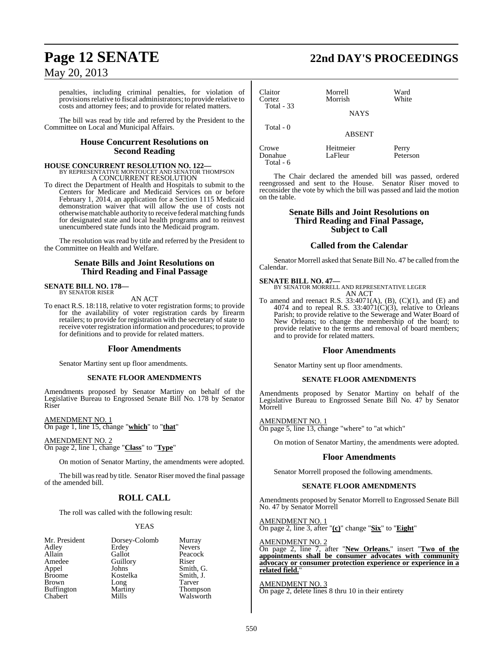penalties, including criminal penalties, for violation of provisions relative to fiscal administrators; to provide relative to costs and attorney fees; and to provide for related matters.

The bill was read by title and referred by the President to the Committee on Local and Municipal Affairs.

#### **House Concurrent Resolutions on Second Reading**

## **HOUSE CONCURRENT RESOLUTION NO. 122—** BY REPRESENTATIVE MONTOUCET AND SENATOR THOMPSON A CONCURRENT RESOLUTION

To direct the Department of Health and Hospitals to submit to the Centers for Medicare and Medicaid Services on or before February 1, 2014, an application for a Section 1115 Medicaid demonstration waiver that will allow the use of costs not otherwisematchable authority to receive federal matching funds for designated state and local health programs and to reinvest unencumbered state funds into the Medicaid program.

The resolution was read by title and referred by the President to the Committee on Health and Welfare.

#### **Senate Bills and Joint Resolutions on Third Reading and Final Passage**

# **SENATE BILL NO. 178—** BY SENATOR RISER

AN ACT

To enact R.S. 18:118, relative to voter registration forms; to provide for the availability of voter registration cards by firearm retailers; to provide for registration with the secretary of state to receive voter registration information and procedures; to provide for definitions and to provide for related matters.

### **Floor Amendments**

Senator Martiny sent up floor amendments.

#### **SENATE FLOOR AMENDMENTS**

Amendments proposed by Senator Martiny on behalf of the Legislative Bureau to Engrossed Senate Bill No. 178 by Senator Riser

AMENDMENT NO. 1 On page 1, line 15, change "**which**" to "**that**"

AMENDMENT NO. 2 On page 2, line 1, change "**Class**" to "**Type**"

On motion of Senator Martiny, the amendments were adopted.

The bill was read by title. Senator Riser moved the final passage of the amended bill.

### **ROLL CALL**

The roll was called with the following result:

#### YEAS

| Mr. President     | Dorsey-Colomb | Murray        |
|-------------------|---------------|---------------|
| Adley             | Erdey         | <b>Nevers</b> |
| Allain            | Gallot        | Peacock       |
| Amedee            | Guillory      | Riser         |
| Appel             | Johns         | Smith, C      |
| <b>Broome</b>     | Kostelka      | Smith, J      |
| Brown             | Long          | Tarver        |
| <b>Buffington</b> | Martiny       | <b>Thomps</b> |
| Chabert           | Mills         | Walswo        |

| lomb | Murray        |
|------|---------------|
|      | <b>Nevers</b> |
|      | Peacock       |
|      | Riser         |
|      | Smith, G.     |
|      | Smith, J.     |
|      | Tarver        |
|      | Thompson      |
|      | Walsworth     |

# **Page 12 SENATE 22nd DAY'S PROCEEDINGS**

| Claitor<br>Cortez<br>Total $-33$ | Morrell<br>Morrish<br><b>NAYS</b> | Ward<br>White     |
|----------------------------------|-----------------------------------|-------------------|
| Total - 0                        | <b>ABSENT</b>                     |                   |
| Crowe<br>Donahue                 | Heitmeier<br>LaFleur              | Perry<br>Peterson |

The Chair declared the amended bill was passed, ordered reengrossed and sent to the House. Senator Riser moved to reconsider the vote by which the bill was passed and laid the motion on the table.

#### **Senate Bills and Joint Resolutions on Third Reading and Final Passage, Subject to Call**

#### **Called from the Calendar**

Senator Morrell asked that Senate Bill No. 47 be called fromthe Calendar.

#### **SENATE BILL NO. 47—**

Total - 6

BY SENATOR MORRELL AND REPRESENTATIVE LEGER AN ACT

To amend and reenact R.S.  $33:4071(A)$ , (B), (C)(1), and (E) and 4074 and to repeal R.S.  $33:4071(C)(3)$ , relative to Orleans Parish; to provide relative to the Sewerage and Water Board of New Orleans; to change the membership of the board; to provide relative to the terms and removal of board members; and to provide for related matters.

#### **Floor Amendments**

Senator Martiny sent up floor amendments.

#### **SENATE FLOOR AMENDMENTS**

Amendments proposed by Senator Martiny on behalf of the Legislative Bureau to Engrossed Senate Bill No. 47 by Senator Morrell

AMENDMENT NO. 1

On page 5, line 13, change "where" to "at which"

On motion of Senator Martiny, the amendments were adopted.

#### **Floor Amendments**

Senator Morrell proposed the following amendments.

#### **SENATE FLOOR AMENDMENTS**

Amendments proposed by Senator Morrell to Engrossed Senate Bill No. 47 by Senator Morrell

AMENDMENT NO. 1 On page 2, line 3, after "**(c)**" change "**Six**" to "**Eight**"

#### AMENDMENT NO. 2

On page 2, line 7, after "**New Orleans.**" insert "**Two of the appointments shall be consumer advocates with community advocacy or consumer protection experience or experience in a related field.**"

AMENDMENT NO. 3 On page 2, delete lines 8 thru 10 in their entirety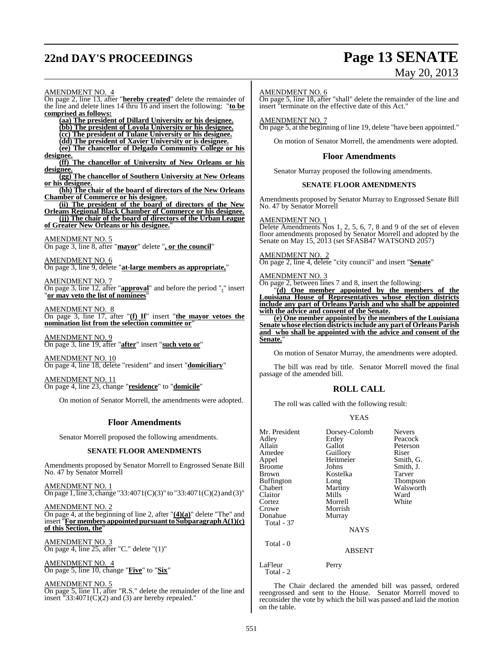# **22nd DAY'S PROCEEDINGS Page 13 SENATE**

# May 20, 2013

AMENDMENT NO. 4 On page 2, line 13, after "**hereby created**" delete the remainder of the line and delete lines 14 thru 16 and insert the following: "**to be comprised as follows: (aa) The president of Dillard University or his designee. (bb) The president of Loyola University or his designee. (cc) The president of Tulane University or his designee. (dd) The president of Xavier University or is designee. (ee) The chancellor of Delgado Community College or his designee. (ff) The chancellor of University of New Orleans or his designee. (gg) The chancellor of Southern University at New Orleans or his designee. (hh) The chair of the board of directors of the New Orleans Chamber of Commerce or his designee. (ii) The president of the board of directors of the New Orleans Regional Black Chamber of Commerce or his designee. (jj) The chair of the board of directors of the Urban League of Greater New Orleans or his designee.**" AMENDMENT NO. 5 On page 3, line 8, after "**mayor**" delete "**, or the council**" AMENDMENT NO. 6 On page 3, line 9, delete "**at-large members as appropriate,**" AMENDMENT NO. 7 On page 3, line 12, after "**approval**" and before the period "**.**" insert "**or may veto the list of nominees**" AMENDMENT NO. 8 On page 3, line 17, after "**(f) If**" insert "**the mayor vetoes the nomination list from the selection committee or**" AMENDMENT NO. 9 On page 3, line 19, after "**after**" insert "**such veto or**" AMENDMENT NO. 10 On page 4, line 18, delete "resident" and insert "**domiciliary**" AMENDMENT NO. 11 On page 4, line 23, change "**residence**" to "**domicile**" On motion of Senator Morrell, the amendments were adopted. **Floor Amendments** Senator Morrell proposed the following amendments. **SENATE FLOOR AMENDMENTS** Amendments proposed by Senator Morrell to Engrossed Senate Bill No. 47 by Senator Morrell AMENDMENT NO. 1  $\overline{On}$  page 1, line 3, change "33:4071(C)(3)" to "33:4071(C)(2) and (3)" AMENDMENT NO. 2

On page 4, at the beginning of line 2, after "**(4)(a)**" delete "The" and insert "**For members appointedpursuantto SubparagraphA(1)(c)** of this Section, the

AMENDMENT NO. 3 On page 4, line 25, after "C." delete "(1)"

AMENDMENT NO. 4 On page 5, line 10, change "**Five**" to "**Six**"

AMENDMENT NO. 5

On page 5, line 11, after "R.S." delete the remainder of the line and insert  $"33:4071(C)(2)$  and (3) are hereby repealed."

#### AMENDMENT NO. 6

On page 5, line 18, after "shall" delete the remainder of the line and insert "terminate on the effective date of this Act."

#### AMENDMENT NO. 7

On page 5, at the beginning of line 19, delete "have been appointed."

On motion of Senator Morrell, the amendments were adopted.

#### **Floor Amendments**

Senator Murray proposed the following amendments.

#### **SENATE FLOOR AMENDMENTS**

Amendments proposed by Senator Murray to Engrossed Senate Bill No. 47 by Senator Morrell

#### AMENDMENT NO. 1

Delete Amendments Nos 1, 2, 5, 6, 7, 8 and 9 of the set of eleven floor amendments proposed by Senator Morrell and adopted by the Senate on May 15, 2013 (set SFASB47 WATSOND 2057)

#### AMENDMENT NO. 2

On page 2, line 4, delete "city council" and insert "**Senate**"

#### AMENDMENT NO. 3

On page 2, between lines 7 and 8, insert the following:

"**(d) One member appointed by the members of the Louisiana House of Representatives whose election districts include any part of Orleans Parish and who shall be appointed with the advice and consent of the Senate.**

**(e) One member appointed by the members of the Louisiana Senate whose election districtsinclude any part of Orleans Parish and who shall be appointed with the advice and consent of the Senate.**"

On motion of Senator Murray, the amendments were adopted.

The bill was read by title. Senator Morrell moved the final passage of the amended bill.

#### **ROLL CALL**

The roll was called with the following result:

#### YEAS

| Mr. President<br>Adley<br>Allain<br>Amedee<br>Appel<br>Broome<br>Brown<br><b>Buffington</b><br>Chabert<br>Claitor<br>Cortez<br>Crowe<br>Donahue<br>Total - 37 | Dorsey-Colomb<br>Erdey<br>Gallot<br>Guillory<br>Heitmeier<br>Johns<br>Kostelka<br>Long<br>Martiny<br>Mills<br>Morrell<br>Morrish<br>Murray<br><b>NAYS</b> | <b>Nevers</b><br>Peacock<br>Peterson<br>Riser<br>Smith, G.<br>Smith, J.<br>Tarver<br>Thompson<br>Walsworth<br>Ward<br>White |
|---------------------------------------------------------------------------------------------------------------------------------------------------------------|-----------------------------------------------------------------------------------------------------------------------------------------------------------|-----------------------------------------------------------------------------------------------------------------------------|
| Total - 0                                                                                                                                                     | <b>ABSENT</b>                                                                                                                                             |                                                                                                                             |
| LaFleur<br>Total - 2                                                                                                                                          | Perry                                                                                                                                                     |                                                                                                                             |

The Chair declared the amended bill was passed, ordered reengrossed and sent to the House. Senator Morrell moved to reconsider the vote by which the bill was passed and laid the motion on the table.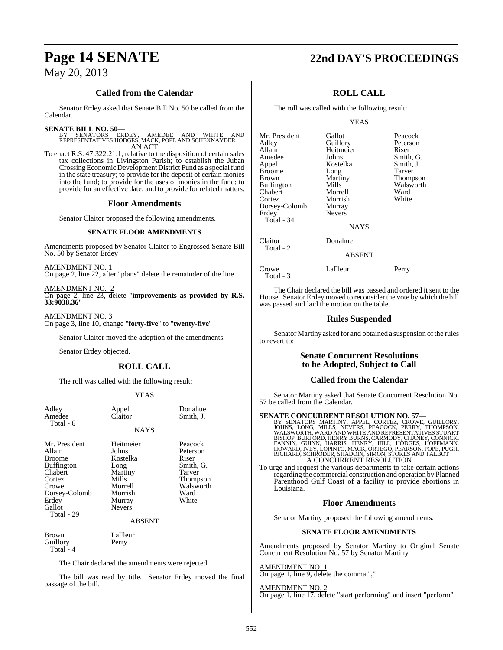# **Page 14 SENATE 22nd DAY'S PROCEEDINGS**

## **Called from the Calendar**

Senator Erdey asked that Senate Bill No. 50 be called from the Calendar.

#### **SENATE BILL NO. 50—**

BY SENATORS ERDEY, AMEDEE AND WHITE AND REPRESENTATIVES HODGES, MACK, POPE AND SCHEXNAYDER AN ACT

To enact R.S. 47:322.21.1, relative to the disposition of certain sales tax collections in Livingston Parish; to establish the Juban Crossing Economic Development District Fund as a special fund in the state treasury; to provide for the deposit of certain monies into the fund; to provide for the uses of monies in the fund; to provide for an effective date; and to provide for related matters.

#### **Floor Amendments**

Senator Claitor proposed the following amendments.

#### **SENATE FLOOR AMENDMENTS**

Amendments proposed by Senator Claitor to Engrossed Senate Bill No. 50 by Senator Erdey

AMENDMENT NO. 1 On page 2, line 22, after "plans" delete the remainder of the line

AMENDMENT NO. 2 On page 2, line 23, delete "**improvements as provided by R.S. 33:9038.36**"

AMENDMENT NO. 3 On page 3, line 10, change "**forty-five**" to "**twenty-five**"

Senator Claitor moved the adoption of the amendments.

Senator Erdey objected.

## **ROLL CALL**

The roll was called with the following result:

#### YEAS

| Adley<br>Amedee<br>Total - 6                                                                                                                  | Appel<br>Claitor                                                                                            | Donahue<br>Smith, J.                                                                          |
|-----------------------------------------------------------------------------------------------------------------------------------------------|-------------------------------------------------------------------------------------------------------------|-----------------------------------------------------------------------------------------------|
|                                                                                                                                               | <b>NAYS</b>                                                                                                 |                                                                                               |
| Mr. President<br>Allain<br><b>Broome</b><br><b>Buffington</b><br>Chabert<br>Cortez<br>Crowe<br>Dorsey-Colomb<br>Erdey<br>Gallot<br>Total - 29 | Heitmeier<br>Johns<br>Kostelka<br>Long<br>Martiny<br>Mills<br>Morrell<br>Morrish<br>Murray<br><b>Nevers</b> | Peacock<br>Peterson<br>Riser<br>Smith, G.<br>Tarver<br>Thompson<br>Walsworth<br>Ward<br>White |
|                                                                                                                                               | <b>ABSENT</b>                                                                                               |                                                                                               |
| Brown<br>Guillory<br>Total - 4                                                                                                                | LaFleur<br>Perry                                                                                            |                                                                                               |
| The Chair declared the amendments were rejected.                                                                                              |                                                                                                             |                                                                                               |

The bill was read by title. Senator Erdey moved the final passage of the bill.

## **ROLL CALL**

The roll was called with the following result:

#### YEAS

| Mr. President<br>Adley<br>Allain<br>Amedee<br>Appel<br><b>Broome</b><br><b>Brown</b><br><b>Buffington</b><br>Chabert<br>Cortez<br>Dorsey-Colomb<br>Erdey | Gallot<br>Guillory<br>Heitmeier<br>Johns<br>Kostelka<br>Long<br>Martiny<br>Mills<br>Morrell<br>Morrish<br>Murray<br><b>Nevers</b> | Peacock<br>Peterson<br>Riser<br>Smith, G.<br>Smith, J.<br>Tarver<br><b>Thompson</b><br>Walsworth<br>Ward<br>White |
|----------------------------------------------------------------------------------------------------------------------------------------------------------|-----------------------------------------------------------------------------------------------------------------------------------|-------------------------------------------------------------------------------------------------------------------|
| Total - 34                                                                                                                                               | <b>NAYS</b>                                                                                                                       |                                                                                                                   |

Total - 2

Total - 3

**NAYS** 

Claitor Donahue

#### ABSENT

Crowe LaFleur Perry

The Chair declared the bill was passed and ordered it sent to the House. Senator Erdey moved to reconsider the vote by which the bill was passed and laid the motion on the table.

## **Rules Suspended**

Senator Martiny asked for and obtained a suspension of the rules to revert to:

### **Senate Concurrent Resolutions to be Adopted, Subject to Call**

### **Called from the Calendar**

Senator Martiny asked that Senate Concurrent Resolution No. 57 be called from the Calendar.

#### **SENATE CONCURRENT RESOLUTION NO. 57—**

BY SENATORS MARTINY, APPEL, CORTEZ, CROWE, GUILLORY,<br>JOHNS, LONG, MILLS, NEVERS, PEACOCK, PERRY, THOMPSON,<br>WALSWORTH, WARD AND WHITE AND REPRESENTATIVES STUART<br>BISHOP, BURFORD, HENRY BURNS, CARMODY, CHANEY, CONNICK,<br>FANNIN A CONCURRENT RESOLUTION

To urge and request the various departments to take certain actions regarding the commercial construction and operation by Planned Parenthood Gulf Coast of a facility to provide abortions in Louisiana.

### **Floor Amendments**

Senator Martiny proposed the following amendments.

#### **SENATE FLOOR AMENDMENTS**

Amendments proposed by Senator Martiny to Original Senate Concurrent Resolution No. 57 by Senator Martiny

AMENDMENT NO. 1 On page 1, line 9, delete the comma ","

## AMENDMENT NO. 2

On page 1, line 17, delete "start performing" and insert "perform"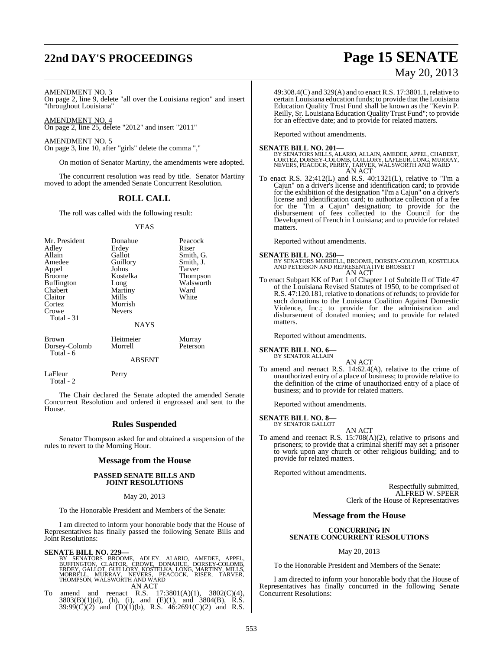# **22nd DAY'S PROCEEDINGS Page 15 SENATE**

# May 20, 2013

#### AMENDMENT NO. 3

On page 2, line 9, delete "all over the Louisiana region" and insert "throughout Louisiana"

AMENDMENT NO. 4 On page 2, line 25, delete "2012" and insert "2011"

AMENDMENT NO. 5

On page 3, line 10, after "girls" delete the comma ","

On motion of Senator Martiny, the amendments were adopted.

The concurrent resolution was read by title. Senator Martiny moved to adopt the amended Senate Concurrent Resolution.

## **ROLL CALL**

The roll was called with the following result:

#### YEAS

| Mr. President<br>Adley<br>Allain<br>Amedee<br>Appel<br>Broome<br>Buffington<br>Chabert<br>Claitor<br>Cortez<br>Crowe<br>Total - 31 | Donahue<br>Erdey<br>Gallot<br>Guillory<br>Johns<br>Kostelka<br>Long<br>Martiny<br>Mills<br>Morrish<br><b>Nevers</b> | Peacock<br>Riser<br>Smith, G.<br>Smith, J.<br>Tarver<br>Thompson<br>Walsworth<br>Ward<br>White |
|------------------------------------------------------------------------------------------------------------------------------------|---------------------------------------------------------------------------------------------------------------------|------------------------------------------------------------------------------------------------|
|                                                                                                                                    | <b>NAYS</b>                                                                                                         |                                                                                                |
| Brown<br>Dorsey-Colomb<br>Total - 6                                                                                                | Heitmeier<br>Morrell<br><b>ABSENT</b>                                                                               | Murray<br>Peterson                                                                             |
| LaFleur                                                                                                                            | Perry                                                                                                               |                                                                                                |

Total - 2

The Chair declared the Senate adopted the amended Senate Concurrent Resolution and ordered it engrossed and sent to the House.

#### **Rules Suspended**

Senator Thompson asked for and obtained a suspension of the rules to revert to the Morning Hour.

#### **Message from the House**

#### **PASSED SENATE BILLS AND JOINT RESOLUTIONS**

May 20, 2013

To the Honorable President and Members of the Senate:

I am directed to inform your honorable body that the House of Representatives has finally passed the following Senate Bills and Joint Resolutions:

#### **SENATE BILL NO. 229—**

BY SENATORS BROOME, ADLEY, ALARIO, AMEDEE, APPEL,<br>BUFFINGTON, CLAITOR, CROWE, DONAHUE, DORSEY-COLOMB,<br>ERDEY, GALLOT, GUILLORY, KOSTELKA, LONG, MARTINY, MILLS,<br>MORRELL, MURRAY, NEVERS, PEACOCK, RISER, TARVER,<br>THOMPSON,WALSW AN ACT

To amend and reenact R.S.  $17:3801(A)(1)$ ,  $3802(C)(4)$ ,  $3803(B)(1)(d)$ , (h), (i), and (E)(1), and 3804(B), R.S. 39:99(C)(2) and (D)(1)(b), R.S. 46:2691(C)(2) and R.S.

49:308.4(C) and 329(A) and to enact R.S. 17:3801.1, relative to certain Louisiana education funds; to provide that the Louisiana Education Quality Trust Fund shall be known as the "Kevin P. Reilly, Sr. Louisiana Education Quality Trust Fund"; to provide for an effective date; and to provide for related matters.

Reported without amendments.

**SENATE BILL NO. 201—**<br>BY SENATORS MILLS, ALARIO, ALLAIN, AMEDEE, APPEL, CHABERT,<br>CORTEZ, DORSEY-COLOMB, GUILLORY, LAFLEUR, LONG, MURRAY,<br>NEVERS, PEACOCK, PERRY, TARVER, WALSWORTH AND WARD AN ACT

To enact R.S. 32:412(L) and R.S. 40:1321(L), relative to "I'm a Cajun" on a driver's license and identification card; to provide for the exhibition of the designation "I'm a Cajun" on a driver's license and identification card; to authorize collection of a fee for the "I'm a Cajun" designation; to provide for the disbursement of fees collected to the Council for the Development of French in Louisiana; and to provide for related matters.

Reported without amendments.

# **SENATE BILL NO. 250—** BY SENATORS MORRELL, BROOME, DORSEY-COLOMB, KOSTELKA AND PETERSON AND REPRESENTATIVE BROSSETT AN ACT

To enact Subpart KK of Part 1 of Chapter 1 of Subtitle II of Title 47 of the Louisiana Revised Statutes of 1950, to be comprised of R.S. 47:120.181, relative to donations of refunds; to provide for such donations to the Louisiana Coalition Against Domestic Violence, Inc.; to provide for the administration and disbursement of donated monies; and to provide for related matters.

Reported without amendments.

#### **SENATE BILL NO. 6—** BY SENATOR ALLAIN

AN ACT To amend and reenact R.S. 14:62.4(A), relative to the crime of unauthorized entry of a place of business; to provide relative to the definition of the crime of unauthorized entry of a place of business; and to provide for related matters.

Reported without amendments.

#### **SENATE BILL NO. 8—** BY SENATOR GALLOT

AN ACT

To amend and reenact R.S. 15:708(A)(2), relative to prisons and prisoners; to provide that a criminal sheriff may set a prisoner to work upon any church or other religious building; and to provide for related matters.

Reported without amendments.

Respectfully submitted, ALFRED W. SPEER Clerk of the House of Representatives

#### **Message from the House**

#### **CONCURRING IN SENATE CONCURRENT RESOLUTIONS**

May 20, 2013

To the Honorable President and Members of the Senate:

I am directed to inform your honorable body that the House of Representatives has finally concurred in the following Senate Concurrent Resolutions: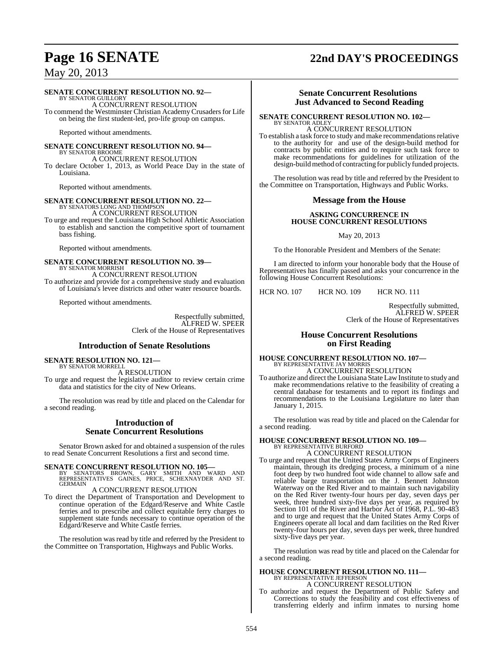# **Page 16 SENATE 22nd DAY'S PROCEEDINGS**

May 20, 2013

#### **SENATE CONCURRENT RESOLUTION NO. 92—**

BY SENATOR GUILLORY A CONCURRENT RESOLUTION To commend the Westminster Christian Academy Crusaders for Life on being the first student-led, pro-life group on campus.

Reported without amendments.

# **SENATE CONCURRENT RESOLUTION NO. 94—**

BY SENATOR BROOME A CONCURRENT RESOLUTION To declare October 1, 2013, as World Peace Day in the state of Louisiana.

Reported without amendments.

## **SENATE CONCURRENT RESOLUTION NO. 22—** BY SENATORS LONG AND THOMPSON A CONCURRENT RESOLUTION To urge and request the Louisiana High School Athletic Association

to establish and sanction the competitive sport of tournament bass fishing.

Reported without amendments.

## **SENATE CONCURRENT RESOLUTION NO. 39—** BY SENATOR MORRISH A CONCURRENT RESOLUTION

To authorize and provide for a comprehensive study and evaluation of Louisiana's levee districts and other water resource boards.

Reported without amendments.

Respectfully submitted, ALFRED W. SPEER Clerk of the House of Representatives

#### **Introduction of Senate Resolutions**

#### **SENATE RESOLUTION NO. 121—** BY SENATOR MORRELI

A RESOLUTION

To urge and request the legislative auditor to review certain crime data and statistics for the city of New Orleans.

The resolution was read by title and placed on the Calendar for a second reading.

#### **Introduction of Senate Concurrent Resolutions**

Senator Brown asked for and obtained a suspension of the rules to read Senate Concurrent Resolutions a first and second time.

- **SENATE CONCURRENT RESOLUTION NO. 105—**<br>BY SENATORS BROWN, GARY SMITH AND WARD AND<br>REPRESENTATIVES GAINES, PRICE, SCHEXNAYDER AND ST. GERMAIN
- A CONCURRENT RESOLUTION To direct the Department of Transportation and Development to continue operation of the Edgard/Reserve and White Castle ferries and to prescribe and collect equitable ferry charges to supplement state funds necessary to continue operation of the Edgard/Reserve and White Castle ferries.

The resolution was read by title and referred by the President to the Committee on Transportation, Highways and Public Works.

### **Senate Concurrent Resolutions Just Advanced to Second Reading**

#### **SENATE CONCURRENT RESOLUTION NO. 102—** BY SENATOR ADLEY

A CONCURRENT RESOLUTION To establish a task force to study and make recommendationsrelative to the authority for and use of the design-build method for contracts by public entities and to require such task force to make recommendations for guidelines for utilization of the design-build method of contracting for publicly funded projects.

The resolution was read by title and referred by the President to the Committee on Transportation, Highways and Public Works.

#### **Message from the House**

#### **ASKING CONCURRENCE IN HOUSE CONCURRENT RESOLUTIONS**

May 20, 2013

To the Honorable President and Members of the Senate:

I am directed to inform your honorable body that the House of Representatives has finally passed and asks your concurrence in the following House Concurrent Resolutions:

HCR NO. 107 HCR NO. 109 HCR NO. 111

Respectfully submitted, ALFRED W. SPEER Clerk of the House of Representatives

#### **House Concurrent Resolutions on First Reading**

## **HOUSE CONCURRENT RESOLUTION NO. 107—** BY REPRESENTATIVE JAY MORRIS A CONCURRENT RESOLUTION

To authorize and direct the Louisiana State Law Institute to study and make recommendations relative to the feasibility of creating a central database for testaments and to report its findings and recommendations to the Louisiana Legislature no later than January 1, 2015.

The resolution was read by title and placed on the Calendar for a second reading.

## **HOUSE CONCURRENT RESOLUTION NO. 109—** BY REPRESENTATIVE BURFORD A CONCURRENT RESOLUTION

To urge and request that the United States Army Corps of Engineers maintain, through its dredging process, a minimum of a nine foot deep by two hundred foot wide channel to allow safe and reliable barge transportation on the J. Bennett Johnston Waterway on the Red River and to maintain such navigability on the Red River twenty-four hours per day, seven days per week, three hundred sixty-five days per year, as required by Section 101 of the River and Harbor Act of 1968, P.L. 90-483 and to urge and request that the United States Army Corps of Engineers operate all local and dam facilities on the Red River twenty-four hours per day, seven days per week, three hundred sixty-five days per year.

The resolution was read by title and placed on the Calendar for a second reading.

## **HOUSE CONCURRENT RESOLUTION NO. 111—** BY REPRESENTATIVE JEFFERSON A CONCURRENT RESOLUTION

To authorize and request the Department of Public Safety and Corrections to study the feasibility and cost effectiveness of transferring elderly and infirm inmates to nursing home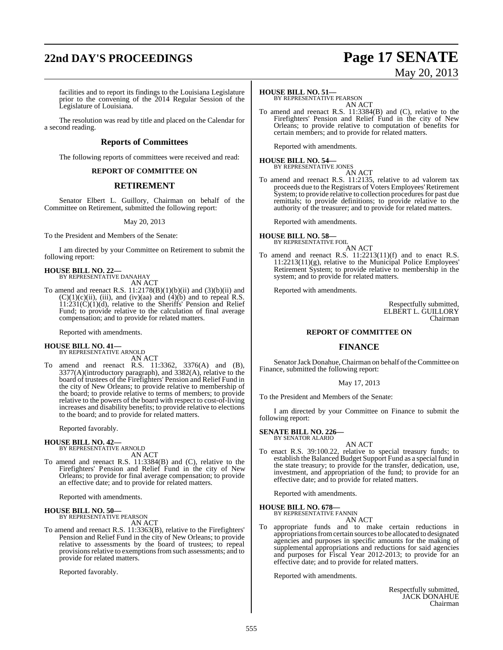# **22nd DAY'S PROCEEDINGS Page 17 SENATE**

# May 20, 2013

facilities and to report its findings to the Louisiana Legislature prior to the convening of the 2014 Regular Session of the Legislature of Louisiana.

The resolution was read by title and placed on the Calendar for a second reading.

## **Reports of Committees**

The following reports of committees were received and read:

#### **REPORT OF COMMITTEE ON**

#### **RETIREMENT**

Senator Elbert L. Guillory, Chairman on behalf of the Committee on Retirement, submitted the following report:

May 20, 2013

To the President and Members of the Senate:

I am directed by your Committee on Retirement to submit the following report:

**HOUSE BILL NO. 22—** BY REPRESENTATIVE DANAHAY

AN ACT

To amend and reenact R.S.  $11:2178(B)(1)(b)(ii)$  and  $(3)(b)(ii)$  and  $(C)(1)(c)(ii)$ , (iii), and (iv)(aa) and (4)(b) and to repeal R.S. 11:231(C)(1)(d), relative to the Sheriffs' Pension and Relief Fund; to provide relative to the calculation of final average compensation; and to provide for related matters.

Reported with amendments.

### **HOUSE BILL NO. 41—**

BY REPRESENTATIVE ARNOLD AN ACT

To amend and reenact R.S. 11:3362, 3376(A) and (B), 3377(A)(introductory paragraph), and 3382(A), relative to the board of trustees of the Firefighters' Pension and Relief Fund in the city of New Orleans; to provide relative to membership of the board; to provide relative to terms of members; to provide relative to the powers of the board with respect to cost-of-living increases and disability benefits; to provide relative to elections to the board; and to provide for related matters.

Reported favorably.

#### **HOUSE BILL NO. 42—**

BY REPRESENTATIVE ARNOLD AN ACT

To amend and reenact R.S. 11:3384(B) and (C), relative to the Firefighters' Pension and Relief Fund in the city of New Orleans; to provide for final average compensation; to provide an effective date; and to provide for related matters.

Reported with amendments.

# **HOUSE BILL NO. 50—** BY REPRESENTATIVE PEARSON

AN ACT

To amend and reenact R.S. 11:3363(B), relative to the Firefighters' Pension and Relief Fund in the city of New Orleans; to provide relative to assessments by the board of trustees; to repeal provisions relative to exemptions from such assessments; and to provide for related matters.

Reported favorably.

#### **HOUSE BILL NO. 51—**

BY REPRESENTATIVE PEARSON AN ACT

To amend and reenact R.S. 11:3384(B) and (C), relative to the Firefighters' Pension and Relief Fund in the city of New Orleans; to provide relative to computation of benefits for certain members; and to provide for related matters.

Reported with amendments.

**HOUSE BILL NO. 54—** BY REPRESENTATIVE JONES

AN ACT

To amend and reenact R.S. 11:2135, relative to ad valorem tax proceeds due to the Registrars of Voters Employees'Retirement System; to provide relative to collection procedures for past due remittals; to provide definitions; to provide relative to the authority of the treasurer; and to provide for related matters.

Reported with amendments.

#### **HOUSE BILL NO. 58** BY REPRESENTATIVE FOIL

- AN ACT
- To amend and reenact R.S. 11:2213(11)(f) and to enact R.S. 11:2213(11)(g), relative to the Municipal Police Employees' Retirement System; to provide relative to membership in the system; and to provide for related matters.

Reported with amendments.

Respectfully submitted, ELBERT L. GUILLORY Chairman

#### **REPORT OF COMMITTEE ON**

### **FINANCE**

Senator Jack Donahue, Chairman on behalf of the Committee on Finance, submitted the following report:

May 17, 2013

To the President and Members of the Senate:

I am directed by your Committee on Finance to submit the following report:

**SENATE BILL NO. 226—** BY SENATOR ALARIO

#### AN ACT

To enact R.S. 39:100.22, relative to special treasury funds; to establish the Balanced Budget Support Fund as a special fund in the state treasury; to provide for the transfer, dedication, use, investment, and appropriation of the fund; to provide for an effective date; and to provide for related matters.

Reported with amendments.

# **HOUSE BILL NO. 678—** BY REPRESENTATIVE FANNIN

AN ACT

To appropriate funds and to make certain reductions in appropriations from certain sources to be allocated to designated agencies and purposes in specific amounts for the making of supplemental appropriations and reductions for said agencies and purposes for Fiscal Year 2012-2013; to provide for an effective date; and to provide for related matters.

Reported with amendments.

Respectfully submitted, JACK DONAHUE Chairman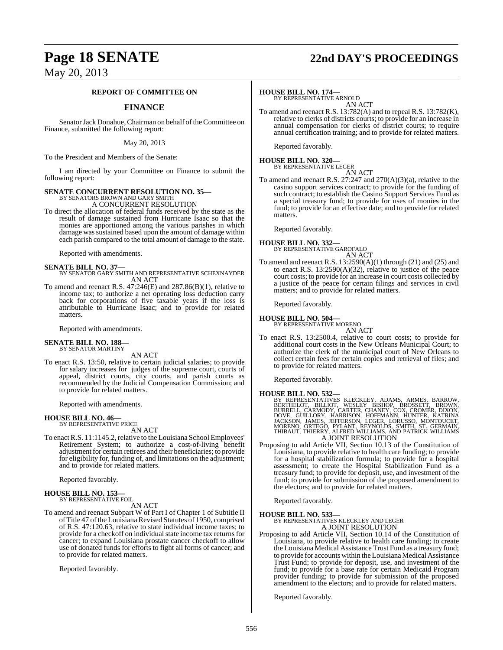# **Page 18 SENATE 22nd DAY'S PROCEEDINGS**

May 20, 2013

#### **REPORT OF COMMITTEE ON**

## **FINANCE**

Senator Jack Donahue, Chairman on behalf of the Committee on Finance, submitted the following report:

May 20, 2013

To the President and Members of the Senate:

I am directed by your Committee on Finance to submit the following report:

# **SENATE CONCURRENT RESOLUTION NO. 35—**<br>BY SENATORS BROWN AND GARY SMITH<br>A CONCURRENT RESOLUTION

To direct the allocation of federal funds received by the state as the result of damage sustained from Hurricane Isaac so that the monies are apportioned among the various parishes in which damage was sustained based upon the amount of damage within each parish compared to the total amount of damage to the state.

Reported with amendments.

## **SENATE BILL NO. 37—** BY SENATOR GARY SMITH AND REPRESENTATIVE SCHEXNAYDER AN ACT

To amend and reenact R.S. 47:246(E) and 287.86(B)(1), relative to income tax; to authorize a net operating loss deduction carry back for corporations of five taxable years if the loss is attributable to Hurricane Isaac; and to provide for related matters.

Reported with amendments.

#### **SENATE BILL NO. 188—** BY SENATOR MARTINY

#### AN ACT

To enact R.S. 13:50, relative to certain judicial salaries; to provide for salary increases for judges of the supreme court, courts of appeal, district courts, city courts, and parish courts as recommended by the Judicial Compensation Commission; and to provide for related matters.

Reported with amendments.

#### **HOUSE BILL NO. 46—** BY REPRESENTATIVE PRICE

AN ACT

To enact R.S. 11:1145.2, relative to the Louisiana School Employees' Retirement System; to authorize a cost-of-living benefit adjustment for certain retirees and their beneficiaries; to provide for eligibility for, funding of, and limitations on the adjustment; and to provide for related matters.

Reported favorably.

#### **HOUSE BILL NO. 153—** BY REPRESENTATIVE FOIL

AN ACT

To amend and reenact Subpart W of Part I of Chapter 1 of Subtitle II of Title 47 of the Louisiana Revised Statutes of 1950, comprised of R.S. 47:120.63, relative to state individual income taxes; to provide for a checkoff on individual state income tax returns for cancer; to expand Louisiana prostate cancer checkoff to allow use of donated funds for efforts to fight all forms of cancer; and to provide for related matters.

Reported favorably.

#### **HOUSE BILL NO. 174—**

BY REPRESENTATIVE ARNOLD AN ACT

To amend and reenact R.S. 13:782(A) and to repeal R.S. 13:782(K), relative to clerks of districts courts; to provide for an increase in annual compensation for clerks of district courts; to require annual certification training; and to provide for related matters.

Reported favorably.

# **HOUSE BILL NO. 320—** BY REPRESENTATIVE LEGER

AN ACT

To amend and reenact R.S. 27:247 and 270(A)(3)(a), relative to the casino support services contract; to provide for the funding of such contract; to establish the Casino Support Services Fund as a special treasury fund; to provide for uses of monies in the fund; to provide for an effective date; and to provide for related matters.

Reported favorably.

#### **HOUSE BILL NO. 332—** BY REPRESENTATIVE GAROFALO AN ACT

To amend and reenact R.S. 13:2590(A)(1) through (21) and (25) and to enact R.S. 13:2590(A)(32), relative to justice of the peace court costs; to provide for an increase in court costs collected by a justice of the peace for certain filings and services in civil matters; and to provide for related matters.

Reported favorably.

#### **HOUSE BILL NO. 504—** BY REPRESENTATIVE MORENO

AN ACT

To enact R.S. 13:2500.4, relative to court costs; to provide for additional court costs in the New Orleans Municipal Court; to authorize the clerk of the municipal court of New Orleans to collect certain fees for certain copies and retrieval of files; and to provide for related matters.

Reported favorably.

**HOUSE BILL NO. 532—**<br>BY REPRESENTATIVES KLECKLEY, ADAMS, ARMES, BARROW, BERTHELOT, BILLIOT, WESLEY BISHOP, BROSSETT, BROWN, BURRELL, CARMODY, CARTER, CHANEY, COX, CROMER, DIXON, DOVE, GUILLORY, HARRISON, HOFFMANN, HUNTER, A JOINT RESOLUTION

Proposing to add Article VII, Section 10.13 of the Constitution of Louisiana, to provide relative to health care funding; to provide for a hospital stabilization formula; to provide for a hospital assessment; to create the Hospital Stabilization Fund as a treasury fund; to provide for deposit, use, and investment of the fund; to provide for submission of the proposed amendment to the electors; and to provide for related matters.

Reported favorably.

**HOUSE BILL NO. 533—** BY REPRESENTATIVES KLECKLEY AND LEGER A JOINT RESOLUTION

Proposing to add Article VII, Section 10.14 of the Constitution of Louisiana, to provide relative to health care funding; to create the Louisiana Medical Assistance Trust Fund as a treasury fund; to provide for accounts within the Louisiana Medical Assistance Trust Fund; to provide for deposit, use, and investment of the fund; to provide for a base rate for certain Medicaid Program provider funding; to provide for submission of the proposed amendment to the electors; and to provide for related matters.

Reported favorably.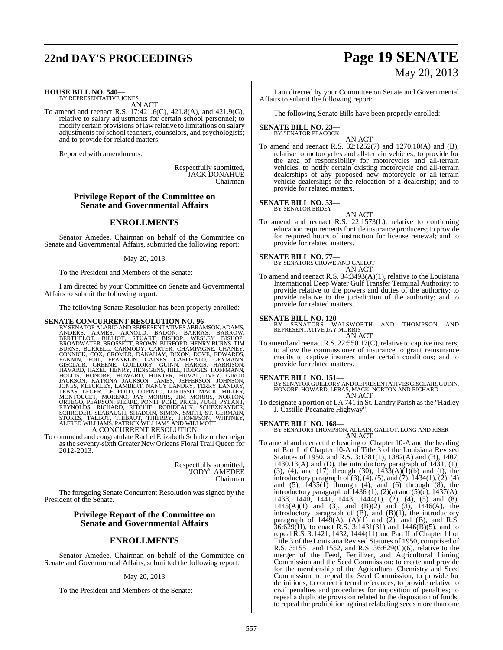# **22nd DAY'S PROCEEDINGS Page 19 SENATE** May 20, 2013

**HOUSE BILL NO. 540—** BY REPRESENTATIVE JONES

AN ACT

To amend and reenact R.S. 17:421.6(C), 421.8(A), and 421.9(G), relative to salary adjustments for certain school personnel; to modify certain provisions of law relative to limitations on salary adjustments for school teachers, counselors, and psychologists; and to provide for related matters.

Reported with amendments.

Respectfully submitted, JACK DONAHUE Chairman

#### **Privilege Report of the Committee on Senate and Governmental Affairs**

### **ENROLLMENTS**

Senator Amedee, Chairman on behalf of the Committee on Senate and Governmental Affairs, submitted the following report:

#### May 20, 2013

To the President and Members of the Senate:

I am directed by your Committee on Senate and Governmental Affairs to submit the following report:

The following Senate Resolution has been properly enrolled:

**SENATE CONCURRENT RESOLUTION NO. 96**<br>BY SENATOR ALARIO ANDREPRESENTATIVES ABRAMSON, ADAMS, ANDERS, ARMES, ARNOLD, BADON, BARRAS, BARROW, BERTHELOT, BILLIOT, STUART BISHOP, WESLEY BISHOP, BROADWATER, BROWN, BURFORD, HENNY

To commend and congratulate Rachel Elizabeth Schultz on her reign asthe seventy-sixth Greater New Orleans Floral Trail Queen for 2012-2013.

> Respectfully submitted, "JODY" AMEDEE Chairman

The foregoing Senate Concurrent Resolution was signed by the President of the Senate.

### **Privilege Report of the Committee on Senate and Governmental Affairs**

### **ENROLLMENTS**

Senator Amedee, Chairman on behalf of the Committee on Senate and Governmental Affairs, submitted the following report:

#### May 20, 2013

To the President and Members of the Senate:

I am directed by your Committee on Senate and Governmental Affairs to submit the following report:

The following Senate Bills have been properly enrolled:

#### **SENATE BILL NO. 23—** BY SENATOR PEACOCK

AN ACT To amend and reenact R.S. 32:1252(7) and 1270.10(A) and (B), relative to motorcycles and all-terrain vehicles; to provide for the area of responsibility for motorcycles and all-terrain vehicles; to notify certain existing motorcycle and all-terrain dealerships of any proposed new motorcycle or all-terrain vehicle dealerships or the relocation of a dealership; and to provide for related matters.

# **SENATE BILL NO. 53—** BY SENATOR ERDEY

AN ACT

To amend and reenact R.S. 22:1573(L), relative to continuing education requirements for title insurance producers; to provide for required hours of instruction for license renewal; and to provide for related matters.

**SENATE BILL NO. 77—** BY SENATORS CROWE AND GALLOT AN ACT

To amend and reenact R.S. 34:3493(A)(1), relative to the Louisiana International Deep Water Gulf Transfer Terminal Authority; to provide relative to the powers and duties of the authority; to provide relative to the jurisdiction of the authority; and to provide for related matters.

#### **SENATE BILL NO. 120—**

BY SENATORS WALSWORTH AND THOMPSON AND REPRESENTATIVE JAY MORRIS AN ACT

To amend and reenact R.S. 22:550.17(C), relative to captive insurers; to allow the commissioner of insurance to grant reinsurance credits to captive insurers under certain conditions; and to provide for related matters.

#### **SENATE BILL NO. 151—**

BY SENATOR GUILLORY AND REPRESENTATIVESGISCLAIR, GUINN, HONORE, HOWARD, LEBAS, MACK, NORTON AND RICHARD AN ACT

To designate a portion of LA 741 in St. Landry Parish asthe "Hadley J. Castille-Pecanaire Highway".

**SENATE BILL NO. 168—** BY SENATORS THOMPSON, ALLAIN, GALLOT, LONG AND RISER AN ACT

To amend and reenact the heading of Chapter 10-A and the heading of Part I of Chapter 10-A of Title 3 of the Louisiana Revised Statutes of 1950, and R.S. 3:1381(1), 1382(A) and (B), 1407, 1430.13(A) and (D), the introductory paragraph of 1431, (1), (3), (4), and (17) through (30),  $143\overline{3}(A)\overline{(1)}$  (b) and (f), the introductory paragraph of (3), (4), (5), and (7), 1434(1), (2), (4) and (5), 1435(1) through (4), and (6) through (8), the introductory paragraph of  $1436$  (1), (2)(a) and (5)(c), 1437(A), 1438, 1440, 1441, 1443, 1444(1), (2), (4), (5) and (8),  $1445(A)(1)$  and  $(3)$ , and  $(B)(2)$  and  $(3)$ ,  $1446(A)$ , the introductory paragraph of (B), and (B)(1), the introductory paragraph of  $1449(\text{\AA})$ ,  $(A)(1)$  and  $(2)$ , and  $(B)$ , and R.S.  $36:629$ (H), to enact R.S.  $3:1431(31)$  and  $1446(B)(5)$ , and to repeal R.S. 3:1421, 1432, 1444(11) and Part II of Chapter 11 of Title 3 of the Louisiana Revised Statutes of 1950, comprised of R.S. 3:1551 and 1552, and R.S. 36:629(C)(6), relative to the merger of the Feed, Fertilizer, and Agricultural Liming Commission and the Seed Commission; to create and provide for the membership of the Agricultural Chemistry and Seed Commission; to repeal the Seed Commission; to provide for definitions; to correct internal references; to provide relative to civil penalties and procedures for imposition of penalties; to repeal a duplicate provision related to the disposition of funds; to repeal the prohibition against relabeling seeds more than one